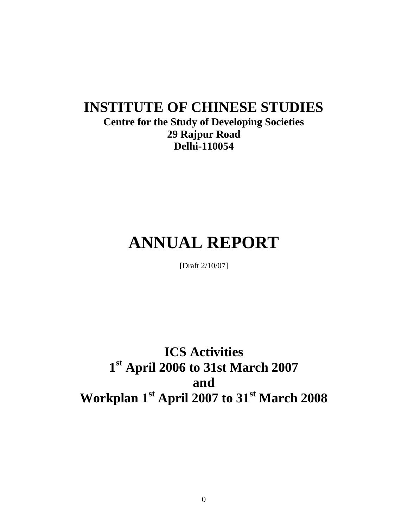# **INSTITUTE OF CHINESE STUDIES**

## **Centre for the Study of Developing Societies 29 Rajpur Road Delhi-110054**

# **ANNUAL REPORT**

[Draft 2/10/07]

**ICS Activities 1 st April 2006 to 31st March 2007 and Workplan 1st April 2007 to 31st March 2008**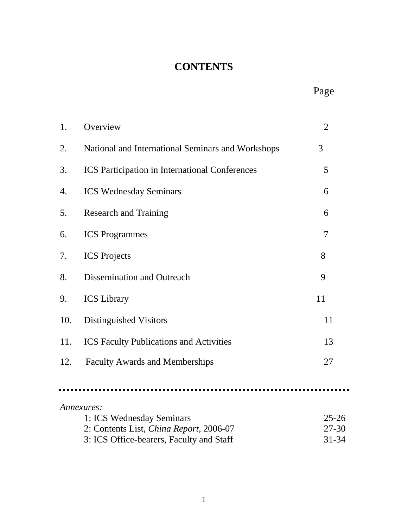## **CONTENTS**

 $\blacksquare$ 

| 1.  | Overview                                              | $\overline{2}$ |
|-----|-------------------------------------------------------|----------------|
| 2.  | National and International Seminars and Workshops     | 3              |
| 3.  | <b>ICS</b> Participation in International Conferences | 5              |
| 4.  | <b>ICS Wednesday Seminars</b>                         | 6              |
| 5.  | <b>Research and Training</b>                          | 6              |
| 6.  | <b>ICS</b> Programmes                                 | 7              |
| 7.  | <b>ICS</b> Projects                                   | 8              |
| 8.  | Dissemination and Outreach                            | 9              |
| 9.  | <b>ICS</b> Library                                    | 11             |
| 10. | Distinguished Visitors                                | 11             |
| 11. | <b>ICS Faculty Publications and Activities</b>        | 13             |
| 12. | <b>Faculty Awards and Memberships</b>                 | 27             |
|     |                                                       |                |
|     | Annexures:                                            |                |
|     | 1: ICS Wednesday Seminars                             | $25 - 26$      |
|     | 2: Contents List, China Report, 2006-07               | $27 - 30$      |
|     | 3: ICS Office-bearers, Faculty and Staff              | 31-34          |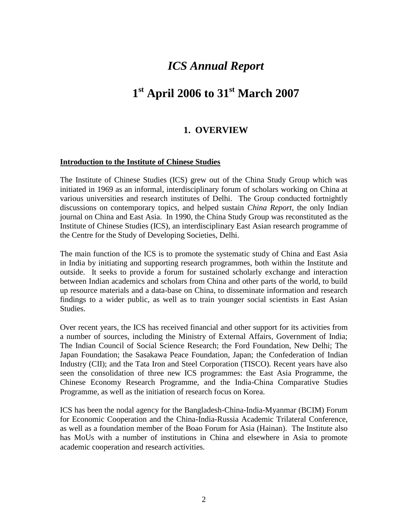## *ICS Annual Report*

## **1 st April 2006 to 31st March 2007**

#### **1. OVERVIEW**

#### **Introduction to the Institute of Chinese Studies**

The Institute of Chinese Studies (ICS) grew out of the China Study Group which was initiated in 1969 as an informal, interdisciplinary forum of scholars working on China at various universities and research institutes of Delhi. The Group conducted fortnightly discussions on contemporary topics, and helped sustain *China Report*, the only Indian journal on China and East Asia. In 1990, the China Study Group was reconstituted as the Institute of Chinese Studies (ICS), an interdisciplinary East Asian research programme of the Centre for the Study of Developing Societies, Delhi.

The main function of the ICS is to promote the systematic study of China and East Asia in India by initiating and supporting research programmes, both within the Institute and outside. It seeks to provide a forum for sustained scholarly exchange and interaction between Indian academics and scholars from China and other parts of the world, to build up resource materials and a data-base on China, to disseminate information and research findings to a wider public, as well as to train younger social scientists in East Asian Studies.

Over recent years, the ICS has received financial and other support for its activities from a number of sources, including the Ministry of External Affairs, Government of India; The Indian Council of Social Science Research; the Ford Foundation, New Delhi; The Japan Foundation; the Sasakawa Peace Foundation, Japan; the Confederation of Indian Industry (CII); and the Tata Iron and Steel Corporation (TISCO). Recent years have also seen the consolidation of three new ICS programmes: the East Asia Programme, the Chinese Economy Research Programme, and the India-China Comparative Studies Programme, as well as the initiation of research focus on Korea.

ICS has been the nodal agency for the Bangladesh-China-India-Myanmar (BCIM) Forum for Economic Cooperation and the China-India-Russia Academic Trilateral Conference, as well as a foundation member of the Boao Forum for Asia (Hainan). The Institute also has MoUs with a number of institutions in China and elsewhere in Asia to promote academic cooperation and research activities.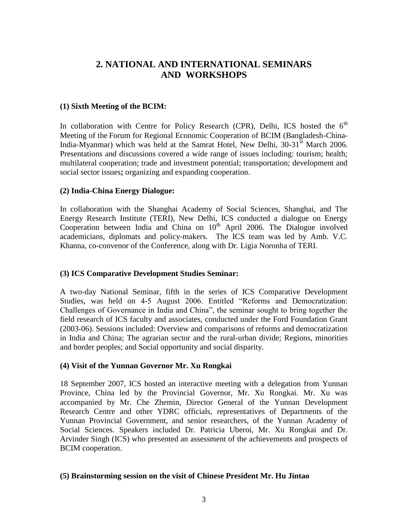## **2. NATIONAL AND INTERNATIONAL SEMINARS AND WORKSHOPS**

#### **(1) Sixth Meeting of the BCIM:**

In collaboration with Centre for Policy Research (CPR), Delhi, ICS hosted the  $6<sup>th</sup>$ Meeting of the Forum for Regional Economic Cooperation of BCIM (Bangladesh-China-India-Myanmar) which was held at the Samrat Hotel, New Delhi, 30-31<sup>st</sup> March 2006. Presentations and discussions covered a wide range of issues including: tourism; health; multilateral cooperation; trade and investment potential; transportation; development and social sector issues**;** organizing and expanding cooperation.

#### **(2) India-China Energy Dialogue:**

In collaboration with the Shanghai Academy of Social Sciences, Shanghai, and The Energy Research Institute (TERI), New Delhi, ICS conducted a dialogue on Energy Cooperation between India and China on  $10<sup>th</sup>$  April 2006. The Dialogue involved academicians, diplomats and policy-makers. The ICS team was led by Amb. V.C. Khanna, co-convenor of the Conference, along with Dr. Ligia Noronha of TERI.

#### **(3) ICS Comparative Development Studies Seminar:**

A two-day National Seminar, fifth in the series of ICS Comparative Development Studies, was held on 4-5 August 2006. Entitled "Reforms and Democratization: Challenges of Governance in India and China", the seminar sought to bring together the field research of ICS faculty and associates, conducted under the Ford Foundation Grant (2003-06). Sessions included: Overview and comparisons of reforms and democratization in India and China; The agrarian sector and the rural-urban divide; Regions, minorities and border peoples; and Social opportunity and social disparity.

#### **(4) Visit of the Yunnan Governor Mr. Xu Rongkai**

18 September 2007, ICS hosted an interactive meeting with a delegation from Yunnan Province, China led by the Provincial Governor, Mr. Xu Rongkai. Mr. Xu was accompanied by Mr. Che Zhemin, Director General of the Yunnan Development Research Centre and other YDRC officials, representatives of Departments of the Yunnan Provincial Government, and senior researchers, of the Yunnan Academy of Social Sciences. Speakers included Dr. Patricia Uberoi, Mr. Xu Rongkai and Dr. Arvinder Singh (ICS) who presented an assessment of the achievements and prospects of BCIM cooperation.

#### **(5) Brainstorming session on the visit of Chinese President Mr. Hu Jintao**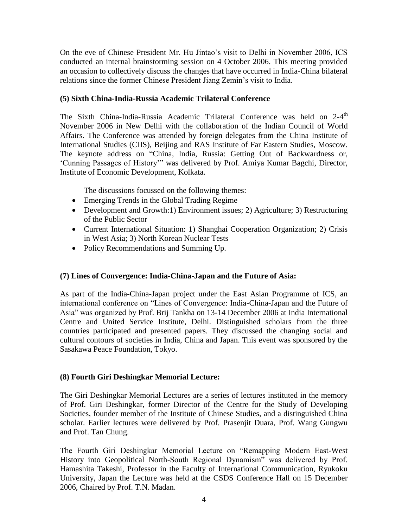On the eve of Chinese President Mr. Hu Jintao's visit to Delhi in November 2006, ICS conducted an internal brainstorming session on 4 October 2006. This meeting provided an occasion to collectively discuss the changes that have occurred in India-China bilateral relations since the former Chinese President Jiang Zemin's visit to India.

#### **(5) Sixth China-India-Russia Academic Trilateral Conference**

The Sixth China-India-Russia Academic Trilateral Conference was held on 2-4<sup>th</sup> November 2006 in New Delhi with the collaboration of the Indian Council of World Affairs. The Conference was attended by foreign delegates from the China Institute of International Studies (CIIS), Beijing and RAS Institute of Far Eastern Studies, Moscow. The keynote address on "China, India, Russia: Getting Out of Backwardness or, ‗Cunning Passages of History'‖ was delivered by Prof. Amiya Kumar Bagchi, Director, Institute of Economic Development, Kolkata.

The discussions focussed on the following themes:

- Emerging Trends in the Global Trading Regime
- Development and Growth:1) Environment issues; 2) Agriculture; 3) Restructuring of the Public Sector
- Current International Situation: 1) Shanghai Cooperation Organization; 2) Crisis in West Asia; 3) North Korean Nuclear Tests
- Policy Recommendations and Summing Up.

#### **(7) Lines of Convergence: India-China-Japan and the Future of Asia:**

As part of the India-China-Japan project under the East Asian Programme of ICS, an international conference on "Lines of Convergence: India-China-Japan and the Future of Asia" was organized by Prof. Brij Tankha on 13-14 December 2006 at India International Centre and United Service Institute, Delhi. Distinguished scholars from the three countries participated and presented papers. They discussed the changing social and cultural contours of societies in India, China and Japan. This event was sponsored by the Sasakawa Peace Foundation, Tokyo.

#### **(8) Fourth Giri Deshingkar Memorial Lecture:**

The Giri Deshingkar Memorial Lectures are a series of lectures instituted in the memory of Prof. Giri Deshingkar, former Director of the Centre for the Study of Developing Societies, founder member of the Institute of Chinese Studies, and a distinguished China scholar. Earlier lectures were delivered by Prof. Prasenjit Duara, Prof. Wang Gungwu and Prof. Tan Chung.

The Fourth Giri Deshingkar Memorial Lecture on "Remapping Modern East-West History into Geopolitical North-South Regional Dynamism" was delivered by Prof. Hamashita Takeshi, Professor in the Faculty of International Communication, Ryukoku University, Japan the Lecture was held at the CSDS Conference Hall on 15 December 2006, Chaired by Prof. T.N. Madan.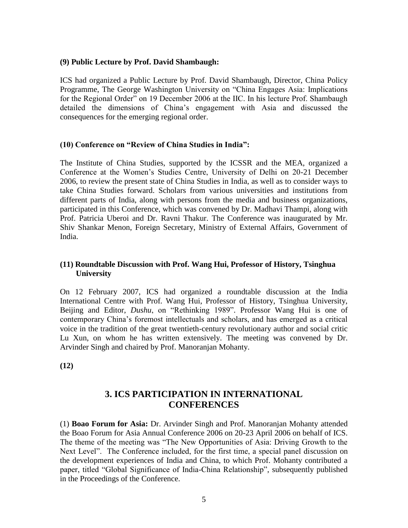#### **(9) Public Lecture by Prof. David Shambaugh:**

ICS had organized a Public Lecture by Prof. David Shambaugh, Director, China Policy Programme, The George Washington University on "China Engages Asia: Implications for the Regional Order" on 19 December 2006 at the IIC. In his lecture Prof. Shambaugh detailed the dimensions of China's engagement with Asia and discussed the consequences for the emerging regional order.

#### **(10) Conference on "Review of China Studies in India":**

The Institute of China Studies, supported by the ICSSR and the MEA, organized a Conference at the Women's Studies Centre, University of Delhi on 20-21 December 2006, to review the present state of China Studies in India, as well as to consider ways to take China Studies forward. Scholars from various universities and institutions from different parts of India, along with persons from the media and business organizations, participated in this Conference, which was convened by Dr. Madhavi Thampi, along with Prof. Patricia Uberoi and Dr. Ravni Thakur. The Conference was inaugurated by Mr. Shiv Shankar Menon, Foreign Secretary, Ministry of External Affairs, Government of India.

#### **(11) Roundtable Discussion with Prof. Wang Hui, Professor of History, Tsinghua University**

On 12 February 2007, ICS had organized a roundtable discussion at the India International Centre with Prof. Wang Hui, Professor of History, Tsinghua University, Beijing and Editor, *Dushu*, on "Rethinking 1989". Professor Wang Hui is one of contemporary China's foremost intellectuals and scholars, and has emerged as a critical voice in the tradition of the great twentieth-century revolutionary author and social critic Lu Xun, on whom he has written extensively. The meeting was convened by Dr. Arvinder Singh and chaired by Prof. Manoranjan Mohanty.

**(12)** 

## **3. ICS PARTICIPATION IN INTERNATIONAL CONFERENCES**

(1) **Boao Forum for Asia:** Dr. Arvinder Singh and Prof. Manoranjan Mohanty attended the Boao Forum for Asia Annual Conference 2006 on 20-23 April 2006 on behalf of ICS. The theme of the meeting was "The New Opportunities of Asia: Driving Growth to the Next Level". The Conference included, for the first time, a special panel discussion on the development experiences of India and China, to which Prof. Mohanty contributed a paper, titled "Global Significance of India-China Relationship", subsequently published in the Proceedings of the Conference.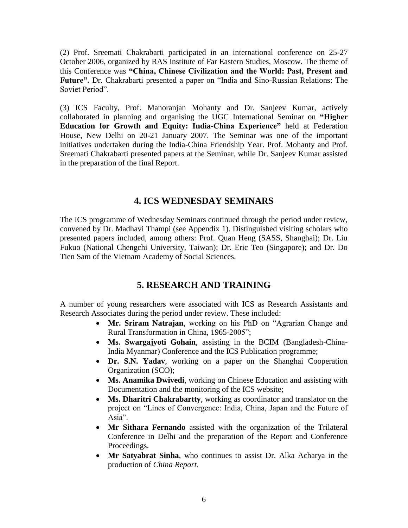(2) Prof. Sreemati Chakrabarti participated in an international conference on 25-27 October 2006, organized by RAS Institute of Far Eastern Studies, Moscow. The theme of this Conference was **"China, Chinese Civilization and the World: Past, Present and**  Future". Dr. Chakrabarti presented a paper on "India and Sino-Russian Relations: The Soviet Period".

(3) ICS Faculty, Prof. Manoranjan Mohanty and Dr. Sanjeev Kumar, actively collaborated in planning and organising the UGC International Seminar on **"Higher Education for Growth and Equity: India-China Experience"** held at Federation House, New Delhi on 20-21 January 2007. The Seminar was one of the important initiatives undertaken during the India-China Friendship Year. Prof. Mohanty and Prof. Sreemati Chakrabarti presented papers at the Seminar, while Dr. Sanjeev Kumar assisted in the preparation of the final Report.

#### **4. ICS WEDNESDAY SEMINARS**

The ICS programme of Wednesday Seminars continued through the period under review, convened by Dr. Madhavi Thampi (see Appendix 1). Distinguished visiting scholars who presented papers included, among others: Prof. Quan Heng (SASS, Shanghai); Dr. Liu Fukuo (National Chengchi University, Taiwan); Dr. Eric Teo (Singapore); and Dr. Do Tien Sam of the Vietnam Academy of Social Sciences.

## **5. RESEARCH AND TRAINING**

A number of young researchers were associated with ICS as Research Assistants and Research Associates during the period under review. These included:

- Mr. Sriram Natrajan, working on his PhD on "Agrarian Change and Rural Transformation in China, 1965-2005";
- **Ms. Swargajyoti Gohain**, assisting in the BCIM (Bangladesh-China-India Myanmar) Conference and the ICS Publication programme;
- **Dr. S.N. Yadav**, working on a paper on the Shanghai Cooperation Organization (SCO);
- **Ms. Anamika Dwivedi**, working on Chinese Education and assisting with Documentation and the monitoring of the ICS website;
- **Ms. Dharitri Chakrabartty**, working as coordinator and translator on the project on "Lines of Convergence: India, China, Japan and the Future of Asia"
- **Mr Sithara Fernando** assisted with the organization of the Trilateral Conference in Delhi and the preparation of the Report and Conference Proceedings.
- **Mr Satyabrat Sinha**, who continues to assist Dr. Alka Acharya in the production of *China Report.*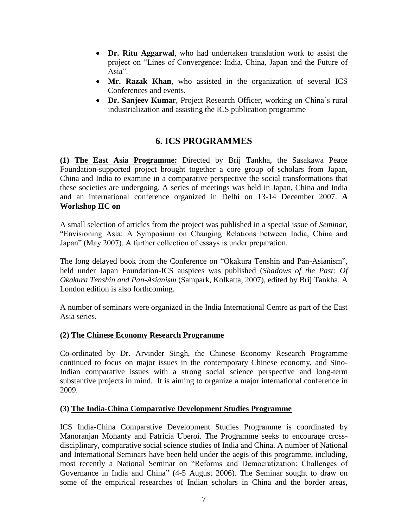- **Dr. Ritu Aggarwal**, who had undertaken translation work to assist the project on "Lines of Convergence: India, China, Japan and the Future of Asia".
- **Mr. Razak Khan**, who assisted in the organization of several ICS Conferences and events.
- **Dr. Sanjeev Kumar**, Project Research Officer, working on China's rural industrialization and assisting the ICS publication programme

## **6. ICS PROGRAMMES**

**(1) The East Asia Programme:** Directed by Brij Tankha, the Sasakawa Peace Foundation-supported project brought together a core group of scholars from Japan, China and India to examine in a comparative perspective the social transformations that these societies are undergoing. A series of meetings was held in Japan, China and India and an international conference organized in Delhi on 13-14 December 2007. **A Workshop IIC on** 

A small selection of articles from the project was published in a special issue of *Seminar*, ―Envisioning Asia: A Symposium on Changing Relations between India, China and Japan" (May 2007). A further collection of essays is under preparation.

The long delayed book from the Conference on "Okakura Tenshin and Pan-Asianism", held under Japan Foundation-ICS auspices was published (*Shadows of the Past: Of Okakura Tenshin and Pan-Asianism* (Sampark, Kolkatta, 2007), edited by Brij Tankha. A London edition is also forthcoming.

A number of seminars were organized in the India International Centre as part of the East Asia series.

#### **(2) The Chinese Economy Research Programme**

Co-ordinated by Dr. Arvinder Singh, the Chinese Economy Research Programme continued to focus on major issues in the contemporary Chinese economy, and Sino-Indian comparative issues with a strong social science perspective and long-term substantive projects in mind. It is aiming to organize a major international conference in 2009.

#### **(3) The India-China Comparative Development Studies Programme**

ICS India-China Comparative Development Studies Programme is coordinated by Manoranjan Mohanty and Patricia Uberoi. The Programme seeks to encourage crossdisciplinary, comparative social science studies of India and China. A number of National and International Seminars have been held under the aegis of this programme, including, most recently a National Seminar on "Reforms and Democratization: Challenges of Governance in India and China" (4-5 August 2006). The Seminar sought to draw on some of the empirical researches of Indian scholars in China and the border areas,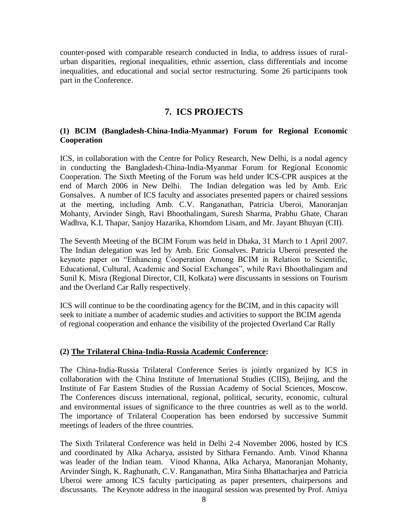counter-posed with comparable research conducted in India, to address issues of ruralurban disparities, regional inequalities, ethnic assertion, class differentials and income inequalities, and educational and social sector restructuring. Some 26 participants took part in the Conference.

#### **7. ICS PROJECTS**

#### **(1) BCIM (Bangladesh-China-India-Myanmar) Forum for Regional Economic Cooperation**

ICS, in collaboration with the Centre for Policy Research, New Delhi, is a nodal agency in conducting the Bangladesh-China-India-Myanmar Forum for Regional Economic Cooperation. The Sixth Meeting of the Forum was held under ICS-CPR auspices at the end of March 2006 in New Delhi. The Indian delegation was led by Amb. Eric Gonsalves. A number of ICS faculty and associates presented papers or chaired sessions at the meeting, including Amb. C.V. Ranganathan, Patricia Uberoi, Manoranjan Mohanty, Arvinder Singh, Ravi Bhoothalingam, Suresh Sharma, Prabhu Ghate, Charan Wadhva, K.L Thapar, Sanjoy Hazarika, Khomdom Lisam, and Mr. Jayant Bhuyan (CII).

The Seventh Meeting of the BCIM Forum was held in Dhaka, 31 March to 1 April 2007. The Indian delegation was led by Amb. Eric Gonsalves. Patricia Uberoi presented the keynote paper on "Enhancing Cooperation Among BCIM in Relation to Scientific, Educational, Cultural, Academic and Social Exchanges", while Ravi Bhoothalingam and Sunil K. Misra (Regional Director, CII, Kolkata) were discussants in sessions on Tourism and the Overland Car Rally respectively.

ICS will continue to be the coordinating agency for the BCIM, and in this capacity will seek to initiate a number of academic studies and activities to support the BCIM agenda of regional cooperation and enhance the visibility of the projected Overland Car Rally

#### **(2) The Trilateral China-India-Russia Academic Conference:**

The China-India-Russia Trilateral Conference Series is jointly organized by ICS in collaboration with the China Institute of International Studies (CIIS), Beijing, and the Institute of Far Eastern Studies of the Russian Academy of Social Sciences, Moscow. The Conferences discuss international, regional, political, security, economic, cultural and environmental issues of significance to the three countries as well as to the world. The importance of Trilateral Cooperation has been endorsed by successive Summit meetings of leaders of the three countries.

The Sixth Trilateral Conference was held in Delhi 2-4 November 2006, hosted by ICS and coordinated by Alka Acharya, assisted by Sithara Fernando. Amb. Vinod Khanna was leader of the Indian team. Vinod Khanna, Alka Acharya, Manoranjan Mohanty, Arvinder Singh, K. Raghunath, C.V. Ranganathan, Mira Sinha Bhattacharjea and Patricia Uberoi were among ICS faculty participating as paper presenters, chairpersons and discussants. The Keynote address in the inaugural session was presented by Prof. Amiya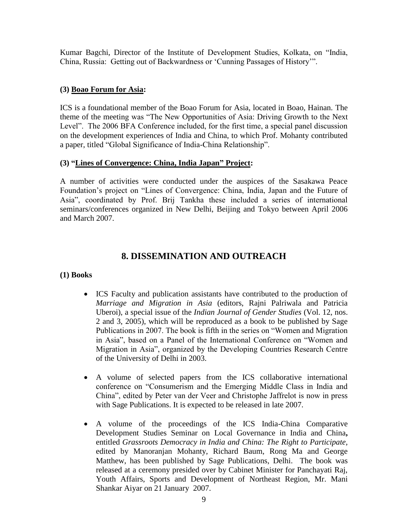Kumar Bagchi, Director of the Institute of Development Studies, Kolkata, on "India, China, Russia: Getting out of Backwardness or 'Cunning Passages of History'".

#### **(3) Boao Forum for Asia:**

ICS is a foundational member of the Boao Forum for Asia, located in Boao, Hainan. The theme of the meeting was "The New Opportunities of Asia: Driving Growth to the Next Level". The 2006 BFA Conference included, for the first time, a special panel discussion on the development experiences of India and China, to which Prof. Mohanty contributed a paper, titled "Global Significance of India-China Relationship".

#### **(3) "Lines of Convergence: China, India Japan" Project:**

A number of activities were conducted under the auspices of the Sasakawa Peace Foundation's project on "Lines of Convergence: China, India, Japan and the Future of Asia", coordinated by Prof. Brij Tankha these included a series of international seminars/conferences organized in New Delhi, Beijing and Tokyo between April 2006 and March 2007.

## **8. DISSEMINATION AND OUTREACH**

#### **(1) Books**

- ICS Faculty and publication assistants have contributed to the production of *Marriage and Migration in Asia* (editors, Rajni Palriwala and Patricia Uberoi), a special issue of the *Indian Journal of Gender Studies* (Vol. 12, nos. 2 and 3, 2005), which will be reproduced as a book to be published by Sage Publications in 2007. The book is fifth in the series on "Women and Migration" in Asia", based on a Panel of the International Conference on "Women and Migration in Asia", organized by the Developing Countries Research Centre of the University of Delhi in 2003.
- A volume of selected papers from the ICS collaborative international conference on "Consumerism and the Emerging Middle Class in India and China‖, edited by Peter van der Veer and Christophe Jaffrelot is now in press with Sage Publications. It is expected to be released in late 2007.
- A volume of the proceedings of the ICS India-China Comparative Development Studies Seminar on Local Governance in India and China**,**  entitled *Grassroots Democracy in India and China: The Right to Participate,* edited by Manoranjan Mohanty, Richard Baum, Rong Ma and George Matthew, has been published by Sage Publications, Delhi. The book was released at a ceremony presided over by Cabinet Minister for Panchayati Raj, Youth Affairs, Sports and Development of Northeast Region, Mr. Mani Shankar Aiyar on 21 January 2007.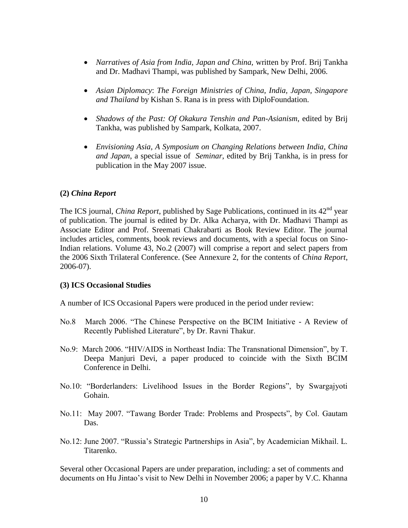- *Narratives of Asia from India, Japan and China,* written by Prof. Brij Tankha and Dr. Madhavi Thampi, was published by Sampark, New Delhi, 2006.
- *Asian Diplomacy*: *The Foreign Ministries of China, India, Japan, Singapore and Thailand* by Kishan S. Rana is in press with DiploFoundation.
- *Shadows of the Past: Of Okakura Tenshin and Pan-Asianism*, edited by Brij Tankha, was published by Sampark, Kolkata, 2007.
- *Envisioning Asia, A Symposium on Changing Relations between India, China and Japan*, a special issue of *Seminar*, edited by Brij Tankha, is in press for publication in the May 2007 issue.

#### **(2)** *China Report*

The ICS journal, *China Report*, published by Sage Publications, continued in its 42<sup>nd</sup> year of publication. The journal is edited by Dr. Alka Acharya, with Dr. Madhavi Thampi as Associate Editor and Prof. Sreemati Chakrabarti as Book Review Editor. The journal includes articles, comments, book reviews and documents, with a special focus on Sino-Indian relations. Volume 43, No.2 (2007) will comprise a report and select papers from the 2006 Sixth Trilateral Conference. (See Annexure 2, for the contents of *China Report*, 2006-07).

#### **(3) ICS Occasional Studies**

A number of ICS Occasional Papers were produced in the period under review:

- No.8 March 2006. "The Chinese Perspective on the BCIM Initiative A Review of Recently Published Literature", by Dr. Ravni Thakur.
- No.9: March 2006. "HIV/AIDS in Northeast India: The Transnational Dimension", by T. Deepa Manjuri Devi, a paper produced to coincide with the Sixth BCIM Conference in Delhi.
- No.10: "Borderlanders: Livelihood Issues in the Border Regions", by Swargajyoti Gohain.
- No.11: May 2007. "Tawang Border Trade: Problems and Prospects", by Col. Gautam Das.
- No.12: June 2007. "Russia's Strategic Partnerships in Asia", by Academician Mikhail. L. Titarenko.

Several other Occasional Papers are under preparation, including: a set of comments and documents on Hu Jintao's visit to New Delhi in November 2006; a paper by V.C. Khanna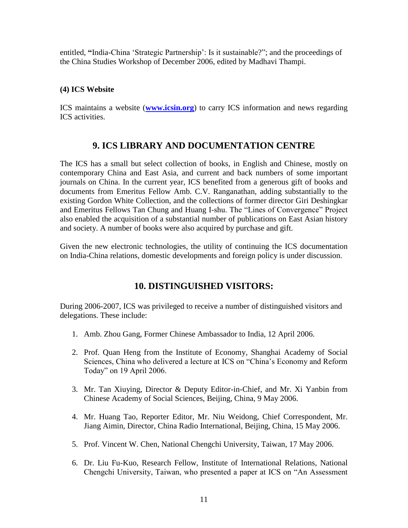entitled, "India-China 'Strategic Partnership': Is it sustainable?"; and the proceedings of the China Studies Workshop of December 2006, edited by Madhavi Thampi.

#### **(4) ICS Website**

ICS maintains a website (**[www.icsin.org](http://www.icsin.org/)**) to carry ICS information and news regarding ICS activities.

#### **9. ICS LIBRARY AND DOCUMENTATION CENTRE**

The ICS has a small but select collection of books, in English and Chinese, mostly on contemporary China and East Asia, and current and back numbers of some important journals on China. In the current year, ICS benefited from a generous gift of books and documents from Emeritus Fellow Amb. C.V. Ranganathan, adding substantially to the existing Gordon White Collection, and the collections of former director Giri Deshingkar and Emeritus Fellows Tan Chung and Huang I-shu. The "Lines of Convergence" Project also enabled the acquisition of a substantial number of publications on East Asian history and society. A number of books were also acquired by purchase and gift.

Given the new electronic technologies, the utility of continuing the ICS documentation on India-China relations, domestic developments and foreign policy is under discussion.

## **10. DISTINGUISHED VISITORS:**

During 2006-2007, ICS was privileged to receive a number of distinguished visitors and delegations. These include:

- 1. Amb. Zhou Gang, Former Chinese Ambassador to India, 12 April 2006.
- 2. Prof. Quan Heng from the Institute of Economy, Shanghai Academy of Social Sciences, China who delivered a lecture at ICS on "China's Economy and Reform Today" on 19 April 2006.
- 3. Mr. Tan Xiuying, Director & Deputy Editor-in-Chief, and Mr. Xi Yanbin from Chinese Academy of Social Sciences, Beijing, China, 9 May 2006.
- 4. Mr. Huang Tao, Reporter Editor, Mr. Niu Weidong, Chief Correspondent, Mr. Jiang Aimin, Director, China Radio International, Beijing, China, 15 May 2006.
- 5. Prof. Vincent W. Chen, National Chengchi University, Taiwan, 17 May 2006.
- 6. Dr. Liu Fu-Kuo, Research Fellow, Institute of International Relations, National Chengchi University, Taiwan, who presented a paper at ICS on "An Assessment"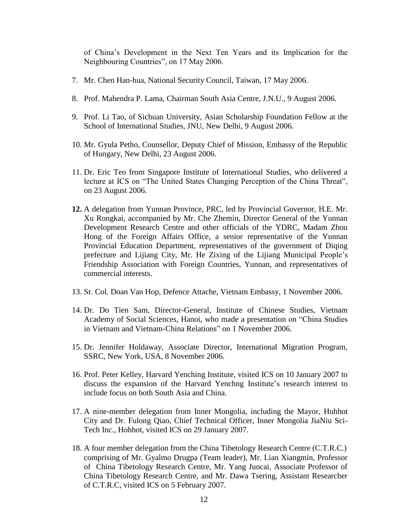of China's Development in the Next Ten Years and its Implication for the Neighbouring Countries", on 17 May 2006.

- 7. Mr. Chen Han-hua, National Security Council, Taiwan, 17 May 2006.
- 8. Prof. Mahendra P. Lama, Chairman South Asia Centre, J.N.U., 9 August 2006.
- 9. Prof. Li Tao, of Sichuan University, Asian Scholarship Foundation Fellow at the School of International Studies, JNU, New Delhi, 9 August 2006.
- 10. Mr. Gyula Petho, Counsellor, Deputy Chief of Mission, Embassy of the Republic of Hungary, New Delhi, 23 August 2006.
- 11. Dr. Eric Teo from Singapore Institute of International Studies, who delivered a lecture at ICS on "The United States Changing Perception of the China Threat", on 23 August 2006.
- **12.** A delegation from Yunnan Province, PRC, led by Provincial Governor, H.E. Mr. Xu Rongkai, accompanied by Mr. Che Zhemin, Director General of the Yunnan Development Research Centre and other officials of the YDRC, Madam Zhou Hong of the Foreign Affairs Office, a senior representative of the Yunnan Provincial Education Department, representatives of the government of Diqing prefecture and Lijiang City, Mr. He Zixing of the Lijiang Municipal People's Friendship Association with Foreign Countries, Yunnan, and representatives of commercial interests.
- 13. Sr. Col. Doan Van Hop, Defence Attache, Vietnam Embassy, 1 November 2006.
- 14. Dr. Do Tien Sam, Director-General, Institute of Chinese Studies, Vietnam Academy of Social Sciences, Hanoi, who made a presentation on "China Studies" in Vietnam and Vietnam-China Relations" on 1 November 2006.
- 15. Dr. Jennifer Holdaway, Associate Director, International Migration Program, SSRC, New York, USA, 8 November 2006.
- 16. Prof. Peter Kelley, Harvard Yenching Institute, visited ICS on 10 January 2007 to discuss the expansion of the Harvard Yenchng Institute's research interest to include focus on both South Asia and China.
- 17. A nine-member delegation from Inner Mongolia, including the Mayor, Huhhot City and Dr. Fulong Qiao, Chief Technical Officer, Inner Mongolia JiaNiu Sci-Tech Inc., Hohhot, visited ICS on 29 January 2007.
- 18. A four member delegation from the China Tibetology Research Centre (C.T.R.C.) comprising of Mr. Gyalmo Drugpa (Team leader), Mr. Lian Xiangmin, Professor of China Tibetology Research Centre, Mr. Yang Juncai, Associate Professor of China Tibetology Research Centre, and Mr. Dawa Tsering, Assistant Researcher of C.T.R.C, visited ICS on 5 February 2007.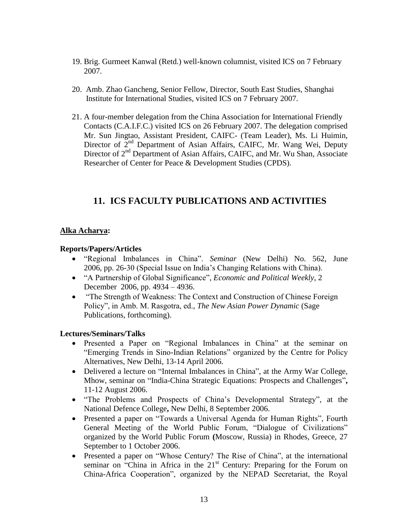- 19. Brig. Gurmeet Kanwal (Retd.) well-known columnist, visited ICS on 7 February 2007.
- 20. Amb. Zhao Gancheng, Senior Fellow, Director, South East Studies, Shanghai Institute for International Studies, visited ICS on 7 February 2007.
- 21. A four-member delegation from the China Association for International Friendly Contacts (C.A.I.F.C.) visited ICS on 26 February 2007. The delegation comprised Mr. Sun Jingtao, Assistant President, CAIFC- (Team Leader), Ms. Li Huimin, Director of 2<sup>nd</sup> Department of Asian Affairs, CAIFC, Mr. Wang Wei, Deputy Director of 2<sup>nd</sup> Department of Asian Affairs, CAIFC, and Mr. Wu Shan, Associate Researcher of Center for Peace & Development Studies (CPDS).

## **11. ICS FACULTY PUBLICATIONS AND ACTIVITIES**

#### **Alka Acharya:**

#### **Reports/Papers/Articles**

- ―Regional Imbalances in China‖. *Seminar* (New Delhi) No. 562, June 2006, pp. 26-30 (Special Issue on India's Changing Relations with China).
- ―A Partnership of Global Significance‖, *Economic and Political Weekly*, 2 December 2006, pp. 4934 – 4936.
- "The Strength of Weakness: The Context and Construction of Chinese Foreign Policy", in Amb. M. Rasgotra, ed., *The New Asian Power Dynamic* (Sage Publications, forthcoming).

- Presented a Paper on "Regional Imbalances in China" at the seminar on "Emerging Trends in Sino-Indian Relations" organized by the Centre for Policy Alternatives, New Delhi, 13-14 April 2006.
- Delivered a lecture on "Internal Imbalances in China", at the Army War College, Mhow, seminar on "India-China Strategic Equations: Prospects and Challenges", 11-12 August 2006.
- "The Problems and Prospects of China's Developmental Strategy", at the National Defence College**,** New Delhi, 8 September 2006.
- Presented a paper on "Towards a Universal Agenda for Human Rights", Fourth General Meeting of the World Public Forum, "Dialogue of Civilizations" organized by the World Public Forum **(**Moscow, Russia) in Rhodes, Greece, 27 September to 1 October 2006.
- Presented a paper on "Whose Century? The Rise of China", at the international seminar on "China in Africa in the  $21<sup>st</sup>$  Century: Preparing for the Forum on China-Africa Cooperation", organized by the NEPAD Secretariat, the Royal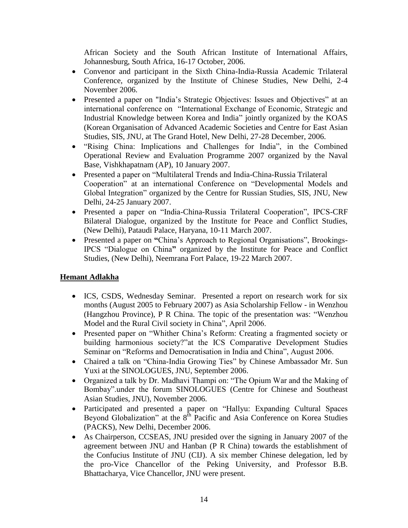African Society and the South African Institute of International Affairs, Johannesburg, South Africa, 16-17 October, 2006.

- Convenor and participant in the Sixth China-India-Russia Academic Trilateral Conference, organized by the Institute of Chinese Studies, New Delhi, 2-4 November 2006.
- Presented a paper on "India's Strategic Objectives: Issues and Objectives" at an international conference on "International Exchange of Economic, Strategic and Industrial Knowledge between Korea and India" jointly organized by the KOAS (Korean Organisation of Advanced Academic Societies and Centre for East Asian Studies, SIS, JNU, at The Grand Hotel, New Delhi, 27-28 December, 2006.
- "Rising China: Implications and Challenges for India", in the Combined Operational Review and Evaluation Programme 2007 organized by the Naval Base, Vishkhapatnam (AP), 10 January 2007.
- Presented a paper on "Multilateral Trends and India-China-Russia Trilateral Cooperation" at an international Conference on "Developmental Models and Global Integration" organized by the Centre for Russian Studies, SIS, JNU, New Delhi, 24-25 January 2007.
- Presented a paper on "India-China-Russia Trilateral Cooperation", IPCS-CRF Bilateral Dialogue, organized by the Institute for Peace and Conflict Studies, (New Delhi), Pataudi Palace, Haryana, 10-11 March 2007.
- Presented a paper on "China's Approach to Regional Organisations", Brookings-IPCS ―Dialogue on China**"** organized by the Institute for Peace and Conflict Studies, (New Delhi), Neemrana Fort Palace, 19-22 March 2007.

#### **Hemant Adlakha**

- ICS, CSDS, Wednesday Seminar. Presented a report on research work for six months (August 2005 to February 2007) as Asia Scholarship Fellow - in Wenzhou (Hangzhou Province), P R China. The topic of the presentation was: "Wenzhou" Model and the Rural Civil society in China", April 2006.
- Presented paper on "Whither China's Reform: Creating a fragmented society or building harmonious society?" at the ICS Comparative Development Studies Seminar on "Reforms and Democratisation in India and China", August 2006.
- Chaired a talk on "China-India Growing Ties" by Chinese Ambassador Mr. Sun Yuxi at the SINOLOGUES, JNU, September 2006.
- Organized a talk by Dr. Madhavi Thampi on: "The Opium War and the Making of Bombay".under the forum SINOLOGUES (Centre for Chinese and Southeast Asian Studies, JNU), November 2006.
- Participated and presented a paper on "Hallyu: Expanding Cultural Spaces" Beyond Globalization" at the  $8<sup>th</sup>$  Pacific and Asia Conference on Korea Studies (PACKS), New Delhi, December 2006.
- As Chairperson, CCSEAS, JNU presided over the signing in January 2007 of the agreement between JNU and Hanban (P R China) towards the establishment of the Confucius Institute of JNU (CIJ). A six member Chinese delegation, led by the pro-Vice Chancellor of the Peking University, and Professor B.B. Bhattacharya, Vice Chancellor, JNU were present.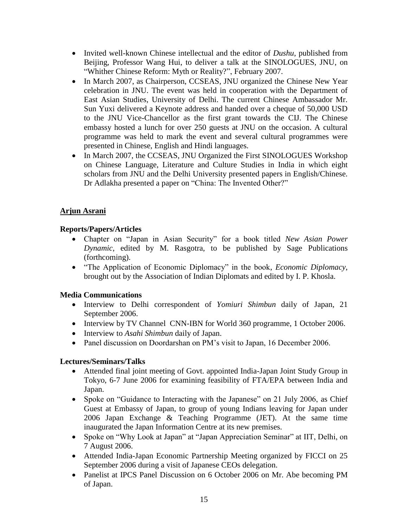- Invited well-known Chinese intellectual and the editor of *Dushu*, published from Beijing, Professor Wang Hui, to deliver a talk at the SINOLOGUES, JNU, on ―Whither Chinese Reform: Myth or Reality?‖, February 2007.
- In March 2007, as Chairperson, CCSEAS, JNU organized the Chinese New Year celebration in JNU. The event was held in cooperation with the Department of East Asian Studies, University of Delhi. The current Chinese Ambassador Mr. Sun Yuxi delivered a Keynote address and handed over a cheque of 50,000 USD to the JNU Vice-Chancellor as the first grant towards the CIJ. The Chinese embassy hosted a lunch for over 250 guests at JNU on the occasion. A cultural programme was held to mark the event and several cultural programmes were presented in Chinese, English and Hindi languages.
- In March 2007, the CCSEAS, JNU Organized the First SINOLOGUES Workshop on Chinese Language, Literature and Culture Studies in India in which eight scholars from JNU and the Delhi University presented papers in English/Chinese. Dr Adlakha presented a paper on "China: The Invented Other?"

#### **Arjun Asrani**

#### **Reports/Papers/Articles**

- Chapter on "Japan in Asian Security" for a book titled *New Asian Power Dynamic*, edited by M. Rasgotra, to be published by Sage Publications (forthcoming).
- ―The Application of Economic Diplomacy‖ in the book, *Economic Diplomacy*, brought out by the Association of Indian Diplomats and edited by I. P. Khosla.

#### **Media Communications**

- Interview to Delhi correspondent of *Yomiuri Shimbun* daily of Japan, 21 September 2006.
- Interview by TV Channel CNN-IBN for World 360 programme, 1 October 2006.
- Interview to *Asahi Shimbun* daily of Japan.
- Panel discussion on Doordarshan on PM's visit to Japan, 16 December 2006.

- Attended final joint meeting of Govt. appointed India-Japan Joint Study Group in Tokyo, 6-7 June 2006 for examining feasibility of FTA/EPA between India and Japan.
- Spoke on "Guidance to Interacting with the Japanese" on 21 July 2006, as Chief Guest at Embassy of Japan, to group of young Indians leaving for Japan under 2006 Japan Exchange & Teaching Programme (JET). At the same time inaugurated the Japan Information Centre at its new premises.
- Spoke on "Why Look at Japan" at "Japan Appreciation Seminar" at IIT, Delhi, on 7 August 2006.
- Attended India-Japan Economic Partnership Meeting organized by FICCI on 25 September 2006 during a visit of Japanese CEOs delegation.
- Panelist at IPCS Panel Discussion on 6 October 2006 on Mr. Abe becoming PM of Japan.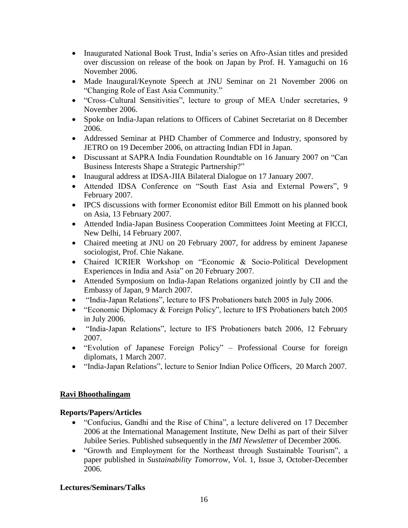- Inaugurated National Book Trust, India's series on Afro-Asian titles and presided over discussion on release of the book on Japan by Prof. H. Yamaguchi on 16 November 2006.
- Made Inaugural/Keynote Speech at JNU Seminar on 21 November 2006 on "Changing Role of East Asia Community."
- "Cross–Cultural Sensitivities", lecture to group of MEA Under secretaries, 9 November 2006.
- Spoke on India-Japan relations to Officers of Cabinet Secretariat on 8 December 2006.
- Addressed Seminar at PHD Chamber of Commerce and Industry, sponsored by JETRO on 19 December 2006, on attracting Indian FDI in Japan.
- Discussant at SAPRA India Foundation Roundtable on 16 January 2007 on "Can Business Interests Shape a Strategic Partnership?"
- Inaugural address at IDSA-JIIA Bilateral Dialogue on 17 January 2007.
- Attended IDSA Conference on "South East Asia and External Powers", 9 February 2007.
- IPCS discussions with former Economist editor Bill Emmott on his planned book on Asia, 13 February 2007.
- Attended India-Japan Business Cooperation Committees Joint Meeting at FICCI, New Delhi, 14 February 2007.
- Chaired meeting at JNU on 20 February 2007, for address by eminent Japanese sociologist, Prof. Chie Nakane.
- Chaired ICRIER Workshop on "Economic & Socio-Political Development Experiences in India and Asia" on 20 February 2007.
- Attended Symposium on India-Japan Relations organized jointly by CII and the Embassy of Japan, 9 March 2007.
- "India-Japan Relations", lecture to IFS Probationers batch 2005 in July 2006.
- "Economic Diplomacy & Foreign Policy", lecture to IFS Probationers batch 2005 in July 2006.
- "India-Japan Relations", lecture to IFS Probationers batch 2006, 12 February 2007.
- "Evolution of Japanese Foreign Policy" Professional Course for foreign diplomats, 1 March 2007.
- "India-Japan Relations", lecture to Senior Indian Police Officers, 20 March 2007.

#### **Ravi Bhoothalingam**

#### **Reports/Papers/Articles**

- "Confucius, Gandhi and the Rise of China", a lecture delivered on 17 December 2006 at the International Management Institute, New Delhi as part of their Silver Jubilee Series. Published subsequently in the *IMI Newsletter* of December 2006.
- "Growth and Employment for the Northeast through Sustainable Tourism", a paper published in *Sustainability Tomorrow*, Vol. 1, Issue 3, October-December 2006.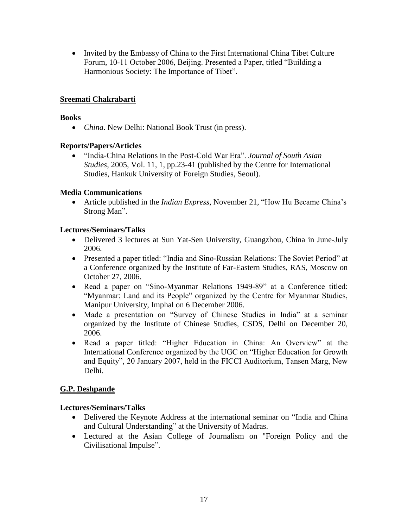• Invited by the Embassy of China to the First International China Tibet Culture Forum, 10-11 October 2006, Beijing. Presented a Paper, titled "Building a Harmonious Society: The Importance of Tibet".

#### **Sreemati Chakrabarti**

#### **Books**

*China*. New Delhi: National Book Trust (in press).

#### **Reports/Papers/Articles**

 ―India-China Relations in the Post-Cold War Era‖. *Journal of South Asian Studies*, 2005, Vol. 11, 1, pp.23-41 (published by the Centre for International Studies, Hankuk University of Foreign Studies, Seoul).

#### **Media Communications**

• Article published in the *Indian Express*, November 21, "How Hu Became China's Strong Man".

#### **Lectures/Seminars/Talks**

- Delivered 3 lectures at Sun Yat-Sen University, Guangzhou, China in June-July 2006.
- Presented a paper titled: "India and Sino-Russian Relations: The Soviet Period" at a Conference organized by the Institute of Far-Eastern Studies, RAS, Moscow on October 27, 2006.
- Read a paper on "Sino-Myanmar Relations 1949-89" at a Conference titled: "Myanmar: Land and its People" organized by the Centre for Myanmar Studies, Manipur University, Imphal on 6 December 2006.
- Made a presentation on "Survey of Chinese Studies in India" at a seminar organized by the Institute of Chinese Studies, CSDS, Delhi on December 20, 2006.
- Read a paper titled: "Higher Education in China: An Overview" at the International Conference organized by the UGC on "Higher Education for Growth" and Equity", 20 January 2007, held in the FICCI Auditorium, Tansen Marg, New Delhi.

#### **G.P. Deshpande**

- Delivered the Keynote Address at the international seminar on "India and China and Cultural Understanding" at the University of Madras.
- Lectured at the Asian College of Journalism on "Foreign Policy and the Civilisational Impulse".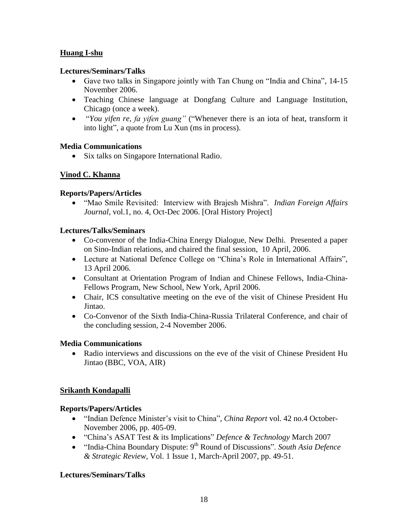#### **Huang I-shu**

#### **Lectures/Seminars/Talks**

- Gave two talks in Singapore jointly with Tan Chung on "India and China", 14-15 November 2006.
- Teaching Chinese language at Dongfang Culture and Language Institution, Chicago (once a week).
- "You yifen re, fa yifen guang" ("Whenever there is an iota of heat, transform it into light", a quote from Lu Xun (ms in process).

#### **Media Communications**

• Six talks on Singapore International Radio.

#### **Vinod C. Khanna**

#### **Reports/Papers/Articles**

• "Mao Smile Revisited: Interview with Brajesh Mishra". *Indian Foreign Affairs Journal*, vol.1, no. 4, Oct-Dec 2006. [Oral History Project]

#### **Lectures/Talks/Seminars**

- Co-convenor of the India-China Energy Dialogue, New Delhi. Presented a paper on Sino-Indian relations, and chaired the final session, 10 April, 2006.
- Lecture at National Defence College on "China's Role in International Affairs", 13 April 2006.
- Consultant at Orientation Program of Indian and Chinese Fellows, India-China-Fellows Program, New School, New York, April 2006.
- Chair, ICS consultative meeting on the eve of the visit of Chinese President Hu Jintao.
- Co-Convenor of the Sixth India-China-Russia Trilateral Conference, and chair of the concluding session, 2-4 November 2006.

#### **Media Communications**

 Radio interviews and discussions on the eve of the visit of Chinese President Hu Jintao (BBC, VOA, AIR)

#### **Srikanth Kondapalli**

#### **Reports/Papers/Articles**

- "Indian Defence Minister's visit to China", *China Report* vol. 42 no.4 October-November 2006, pp. 405-09.
- ―China's ASAT Test & its Implications‖ *Defence & Technology* March 2007
- "India-China Boundary Dispute: 9<sup>th</sup> Round of Discussions". *South Asia Defence & Strategic Review*, Vol. 1 Issue 1, March-April 2007, pp. 49-51.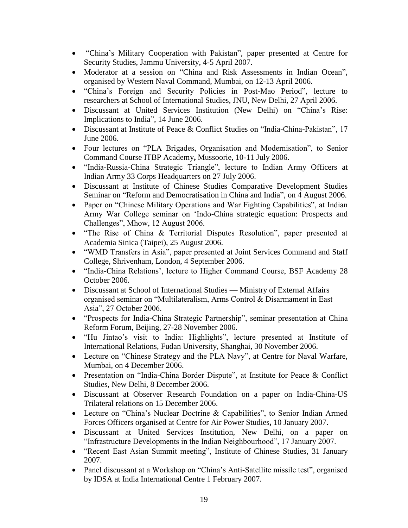- "China's Military Cooperation with Pakistan", paper presented at Centre for Security Studies, Jammu University, 4-5 April 2007.
- Moderator at a session on "China and Risk Assessments in Indian Ocean", organised by Western Naval Command, Mumbai, on 12-13 April 2006.
- "China's Foreign and Security Policies in Post-Mao Period", lecture to researchers at School of International Studies, JNU, New Delhi, 27 April 2006.
- Discussant at United Services Institution (New Delhi) on "China's Rise: Implications to India", 14 June 2006.
- Discussant at Institute of Peace & Conflict Studies on "India-China-Pakistan", 17 June 2006.
- Four lectures on "PLA Brigades, Organisation and Modernisation", to Senior Command Course ITBP Academy**,** Mussoorie, 10-11 July 2006.
- "India-Russia-China Strategic Triangle", lecture to Indian Army Officers at Indian Army 33 Corps Headquarters on 27 July 2006.
- Discussant at Institute of Chinese Studies Comparative Development Studies Seminar on "Reform and Democratisation in China and India", on 4 August 2006.
- Paper on "Chinese Military Operations and War Fighting Capabilities", at Indian Army War College seminar on 'Indo-China strategic equation: Prospects and Challenges", Mhow, 12 August 2006.
- ―The Rise of China & Territorial Disputes Resolution‖, paper presented at Academia Sinica (Taipei), 25 August 2006.
- "WMD Transfers in Asia", paper presented at Joint Services Command and Staff College, Shrivenham, London, 4 September 2006.
- ―India-China Relations', lecture to Higher Command Course, BSF Academy 28 October 2006.
- Discussant at School of International Studies Ministry of External Affairs organised seminar on "Multilateralism, Arms Control & Disarmament in East Asia", 27 October 2006.
- "Prospects for India-China Strategic Partnership", seminar presentation at China Reform Forum, Beijing, 27-28 November 2006.
- "Hu Jintao's visit to India: Highlights", lecture presented at Institute of International Relations, Fudan University, Shanghai, 30 November 2006.
- Lecture on "Chinese Strategy and the PLA Navy", at Centre for Naval Warfare, Mumbai, on 4 December 2006.
- Presentation on "India-China Border Dispute", at Institute for Peace  $&$  Conflict Studies, New Delhi, 8 December 2006.
- Discussant at Observer Research Foundation on a paper on India-China-US Trilateral relations on 15 December 2006.
- Lecture on "China's Nuclear Doctrine & Capabilities", to Senior Indian Armed Forces Officers organised at Centre for Air Power Studies**,** 10 January 2007.
- Discussant at United Services Institution, New Delhi, on a paper on "Infrastructure Developments in the Indian Neighbourhood", 17 January 2007.
- "Recent East Asian Summit meeting", Institute of Chinese Studies, 31 January 2007.
- Panel discussant at a Workshop on "China's Anti-Satellite missile test", organised by IDSA at India International Centre 1 February 2007.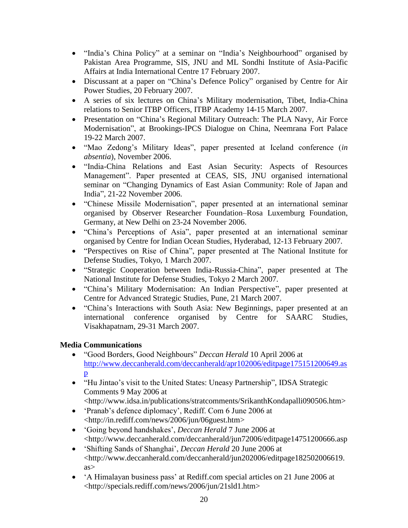- "India's China Policy" at a seminar on "India's Neighbourhood" organised by Pakistan Area Programme, SIS, JNU and ML Sondhi Institute of Asia-Pacific Affairs at India International Centre 17 February 2007.
- Discussant at a paper on "China's Defence Policy" organised by Centre for Air Power Studies, 20 February 2007.
- A series of six lectures on China's Military modernisation, Tibet, India-China relations to Senior ITBP Officers, ITBP Academy 14-15 March 2007.
- Presentation on "China's Regional Military Outreach: The PLA Navy, Air Force Modernisation", at Brookings-IPCS Dialogue on China, Neemrana Fort Palace 19-22 March 2007.
- ―Mao Zedong's Military Ideas‖, paper presented at Iceland conference (*in absentia*), November 2006.
- ―India-China Relations and East Asian Security: Aspects of Resources Management". Paper presented at CEAS, SIS, JNU organised international seminar on "Changing Dynamics of East Asian Community: Role of Japan and India‖, 21-22 November 2006.
- ―Chinese Missile Modernisation‖, paper presented at an international seminar organised by Observer Researcher Foundation–Rosa Luxemburg Foundation, Germany, at New Delhi on 23-24 November 2006.
- ―China's Perceptions of Asia‖, paper presented at an international seminar organised by Centre for Indian Ocean Studies, Hyderabad, 12-13 February 2007.
- ―Perspectives on Rise of China‖, paper presented at The National Institute for Defense Studies, Tokyo, 1 March 2007.
- ―Strategic Cooperation between India-Russia-China‖, paper presented at The National Institute for Defense Studies, Tokyo 2 March 2007.
- "China's Military Modernisation: An Indian Perspective", paper presented at Centre for Advanced Strategic Studies, Pune, 21 March 2007.
- ―China's Interactions with South Asia: New Beginnings, paper presented at an international conference organised by Centre for SAARC Studies, Visakhapatnam, 29-31 March 2007.

#### **Media Communications**

- ―Good Borders, Good Neighbours‖ *Deccan Herald* 10 April 2006 at [http://www.deccanherald.com/deccanherald/apr102006/editpage175151200649.as](http://www.deccanherald.com/deccanherald/apr102006/editpage175151200649.asp) [p](http://www.deccanherald.com/deccanherald/apr102006/editpage175151200649.asp)
- "Hu Jintao's visit to the United States: Uneasy Partnership", IDSA Strategic Comments 9 May 2006 at <http://www.idsa.in/publications/stratcomments/SrikanthKondapalli090506.htm>
- 'Pranab's defence diplomacy', Rediff. Com 6 June 2006 at <http://in.rediff.com/news/2006/jun/06guest.htm>
- ‗Going beyond handshakes', *Deccan Herald* 7 June 2006 at <http://www.deccanherald.com/deccanherald/jun72006/editpage14751200666.asp
- ‗Shifting Sands of Shanghai', *Deccan Herald* 20 June 2006 at <http://www.deccanherald.com/deccanherald/jun202006/editpage182502006619. as>
- 'A Himalayan business pass' at Rediff.com special articles on 21 June 2006 at <http://specials.rediff.com/news/2006/jun/21sld1.htm>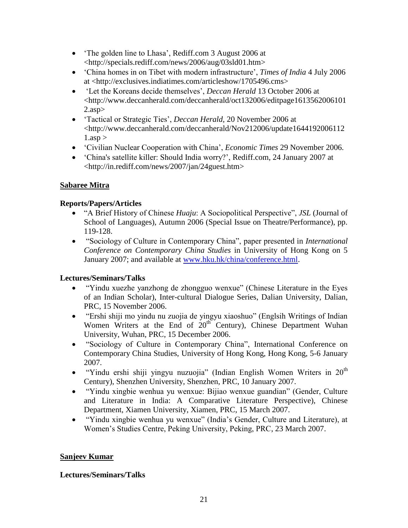- The golden line to Lhasa', Rediff.com 3 August 2006 at <http://specials.rediff.com/news/2006/aug/03sld01.htm>
- ‗China homes in on Tibet with modern infrastructure', *Times of India* 4 July 2006 at <http://exclusives.indiatimes.com/articleshow/1705496.cms>
- 'Let the Koreans decide themselves', *Deccan Herald* 13 October 2006 at <http://www.deccanherald.com/deccanherald/oct132006/editpage1613562006101 2.asp>
- ‗Tactical or Strategic Ties', *Deccan Herald,* 20 November 2006 at <http://www.deccanherald.com/deccanherald/Nov212006/update1644192006112  $1.$ asp  $>$
- ‗Civilian Nuclear Cooperation with China', *Economic Times* 29 November 2006.
- 'China's satellite killer: Should India worry?', Rediff.com, 24 January 2007 at <http://in.rediff.com/news/2007/jan/24guest.htm>

#### **Sabaree Mitra**

#### **Reports/Papers/Articles**

- "A Brief History of Chinese *Huaju*: A Sociopolitical Perspective", *JSL* (Journal of School of Languages), Autumn 2006 (Special Issue on Theatre/Performance), pp. 119-128.
- ―Sociology of Culture in Contemporary China‖, paper presented in *International Conference on Contemporary China Studies* in University of Hong Kong on 5 January 2007; and available at [www.hku.hk/china/conference.html.](http://www.hku.hk/china/conference.html)

#### **Lectures/Seminars/Talks**

- "Yindu xuezhe yanzhong de zhongguo wenxue" (Chinese Literature in the Eyes of an Indian Scholar), Inter-cultural Dialogue Series, Dalian University, Dalian, PRC, 15 November 2006.
- "Ershi shiji mo yindu nu zuojia de yingyu xiaoshuo" (Englsih Writings of Indian Women Writers at the End of 20<sup>th</sup> Century), Chinese Department Wuhan University, Wuhan, PRC, 15 December 2006.
- ―Sociology of Culture in Contemporary China‖, International Conference on Contemporary China Studies, University of Hong Kong, Hong Kong, 5-6 January 2007.
- "Yindu ershi shiji yingyu nuzuojia" (Indian English Women Writers in  $20<sup>th</sup>$ Century), Shenzhen University, Shenzhen, PRC, 10 January 2007.
- "Yindu xingbie wenhua yu wenxue: Bijiao wenxue guandian" (Gender, Culture and Literature in India: A Comparative Literature Perspective), Chinese Department, Xiamen University, Xiamen, PRC, 15 March 2007.
- "Yindu xingbie wenhua yu wenxue" (India's Gender, Culture and Literature), at Women's Studies Centre, Peking University, Peking, PRC, 23 March 2007.

#### **Sanjeev Kumar**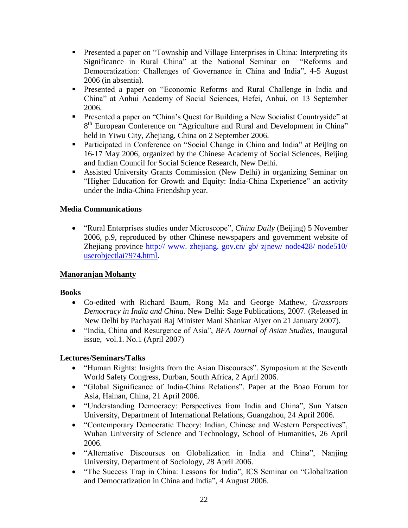- **Presented a paper on "Township and Village Enterprises in China: Interpreting its** Significance in Rural China" at the National Seminar on "Reforms and Democratization: Challenges of Governance in China and India", 4-5 August 2006 (in absentia).
- **Presented a paper on "Economic Reforms and Rural Challenge in India and** China" at Anhui Academy of Social Sciences, Hefei, Anhui, on 13 September 2006.
- **Presented a paper on "China's Quest for Building a New Socialist Countryside" at** 8<sup>th</sup> European Conference on "Agriculture and Rural and Development in China" held in Yiwu City, Zhejiang, China on 2 September 2006.
- Participated in Conference on "Social Change in China and India" at Beijing on 16-17 May 2006, organized by the Chinese Academy of Social Sciences, Beijing and Indian Council for Social Science Research, New Delhi.
- Assisted University Grants Commission (New Delhi) in organizing Seminar on "Higher Education for Growth and Equity: India-China Experience" an activity under the India-China Friendship year.

#### **Media Communications**

• "Rural Enterprises studies under Microscope", *China Daily* (Beijing) 5 November 2006, p.9, reproduced by other Chinese newspapers and government website of Zhejiang province http:// www. zhejiang. gov.cn/ gb/ zjnew/ node428/ node510/ userobjectlai7974.html.

#### **Manoranjan Mohanty**

#### **Books**

- Co-edited with Richard Baum, Rong Ma and George Mathew, *Grassroots Democracy in India and China*. New Delhi: Sage Publications, 2007. (Released in New Delhi by Pachayati Raj Minister Mani Shankar Aiyer on 21 January 2007).
- "India, China and Resurgence of Asia", *BFA Journal of Asian Studies*, Inaugural issue, vol.1. No.1 (April 2007)

- "Human Rights: Insights from the Asian Discourses". Symposium at the Seventh World Safety Congress, Durban, South Africa, 2 April 2006.
- ―Global Significance of India-China Relations‖. Paper at the Boao Forum for Asia, Hainan, China, 21 April 2006.
- "Understanding Democracy: Perspectives from India and China", Sun Yatsen University, Department of International Relations, Guangzhou, 24 April 2006.
- "Contemporary Democratic Theory: Indian, Chinese and Western Perspectives", Wuhan University of Science and Technology, School of Humanities, 26 April 2006.
- "Alternative Discourses on Globalization in India and China", Nanjing University, Department of Sociology, 28 April 2006.
- "The Success Trap in China: Lessons for India", ICS Seminar on "Globalization" and Democratization in China and India", 4 August 2006.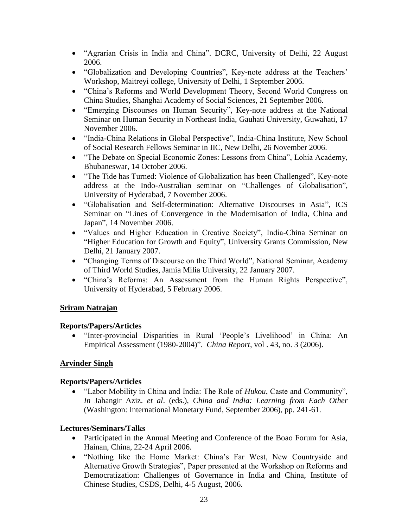- "Agrarian Crisis in India and China". DCRC, University of Delhi, 22 August 2006.
- "Globalization and Developing Countries", Key-note address at the Teachers' Workshop, Maitreyi college, University of Delhi, 1 September 2006.
- ―China's Reforms and World Development Theory, Second World Congress on China Studies, Shanghai Academy of Social Sciences, 21 September 2006.
- "Emerging Discourses on Human Security", Key-note address at the National Seminar on Human Security in Northeast India, Gauhati University, Guwahati, 17 November 2006.
- "India-China Relations in Global Perspective", India-China Institute, New School of Social Research Fellows Seminar in IIC, New Delhi, 26 November 2006.
- "The Debate on Special Economic Zones: Lessons from China", Lohia Academy, Bhubaneswar, 14 October 2006.
- "The Tide has Turned: Violence of Globalization has been Challenged", Key-note address at the Indo-Australian seminar on "Challenges of Globalisation", University of Hyderabad, 7 November 2006.
- "Globalisation and Self-determination: Alternative Discourses in Asia", ICS Seminar on "Lines of Convergence in the Modernisation of India, China and Japan", 14 November 2006.
- ―Values and Higher Education in Creative Society‖, India-China Seminar on "Higher Education for Growth and Equity", University Grants Commission, New Delhi, 21 January 2007.
- "Changing Terms of Discourse on the Third World", National Seminar, Academy of Third World Studies, Jamia Milia University, 22 January 2007.
- "China's Reforms: An Assessment from the Human Rights Perspective", University of Hyderabad, 5 February 2006.

#### **Sriram Natrajan**

#### **Reports/Papers/Articles**

• "Inter-provincial Disparities in Rural 'People's Livelihood' in China: An Empirical Assessment (1980-2004)‖. *China Report*, vol . 43, no. 3 (2006).

#### **Arvinder Singh**

#### **Reports/Papers/Articles**

• "Labor Mobility in China and India: The Role of *Hukou*, Caste and Community", *In* Jahangir Aziz. *et al*. (eds.), *China and India: Learning from Each Other*  (Washington: International Monetary Fund, September 2006), pp. 241-61.

- Participated in the Annual Meeting and Conference of the Boao Forum for Asia, Hainan, China, 22-24 April 2006.
- "Nothing like the Home Market: China's Far West, New Countryside and Alternative Growth Strategies", Paper presented at the Workshop on Reforms and Democratization: Challenges of Governance in India and China, Institute of Chinese Studies, CSDS, Delhi, 4-5 August, 2006.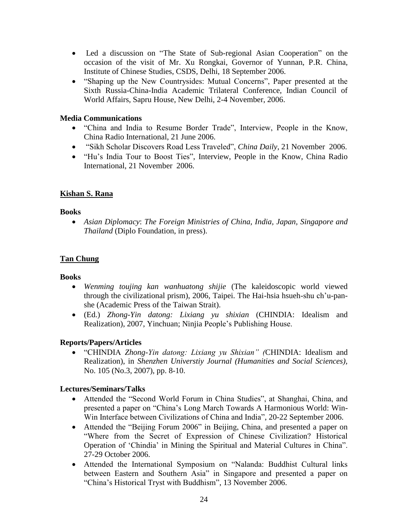- Led a discussion on "The State of Sub-regional Asian Cooperation" on the occasion of the visit of Mr. Xu Rongkai, Governor of Yunnan, P.R. China, Institute of Chinese Studies, CSDS, Delhi, 18 September 2006.
- "Shaping up the New Countrysides: Mutual Concerns", Paper presented at the Sixth Russia-China-India Academic Trilateral Conference, Indian Council of World Affairs, Sapru House, New Delhi, 2-4 November, 2006.

#### **Media Communications**

- "China and India to Resume Border Trade", Interview, People in the Know, China Radio International, 21 June 2006.
- ―Sikh Scholar Discovers Road Less Traveled‖, *China Daily*, 21 November 2006.
- "Hu's India Tour to Boost Ties", Interview, People in the Know, China Radio International, 21 November 2006.

#### **Kishan S. Rana**

#### **Books**

 *Asian Diplomacy*: *The Foreign Ministries of China, India, Japan, Singapore and Thailand* (Diplo Foundation, in press).

#### **Tan Chung**

#### **Books**

- *Wenming toujing kan wanhuatong shijie* (The kaleidoscopic world viewed through the civilizational prism), 2006, Taipei. The Hai-hsia hsueh-shu ch'u-panshe (Academic Press of the Taiwan Strait).
- (Ed.) *Zhong-Yin datong: Lixiang yu shixian* (CHINDIA: Idealism and Realization), 2007, Yinchuan; Ninjia People's Publishing House.

#### **Reports/Papers/Articles**

 ―CHINDIA *Zhong-Yin datong: Lixiang yu Shixian" (*CHINDIA: Idealism and Realization), in *Shenzhen Universtiy Journal (Humanities and Social Sciences),*  No. 105 (No.3, 2007), pp. 8-10.

- Attended the "Second World Forum in China Studies", at Shanghai, China, and presented a paper on "China's Long March Towards A Harmonious World: Win-Win Interface between Civilizations of China and India", 20-22 September 2006.
- Attended the "Beijing Forum 2006" in Beijing, China, and presented a paper on ―Where from the Secret of Expression of Chinese Civilization? Historical Operation of 'Chindia' in Mining the Spiritual and Material Cultures in China". 27-29 October 2006.
- Attended the International Symposium on "Nalanda: Buddhist Cultural links between Eastern and Southern Asia" in Singapore and presented a paper on "China's Historical Tryst with Buddhism", 13 November 2006.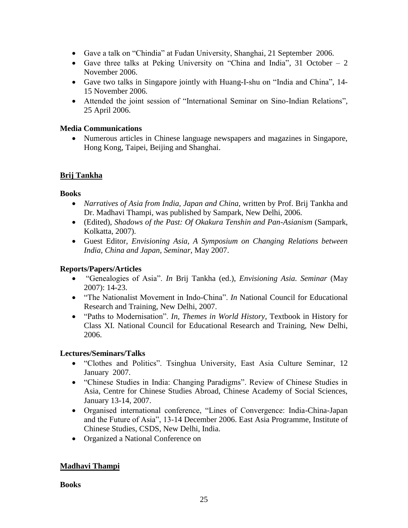- Gave a talk on "Chindia" at Fudan University, Shanghai, 21 September 2006.
- Gave three talks at Peking University on "China and India", 31 October 2 November 2006.
- Gave two talks in Singapore jointly with Huang-I-shu on "India and China", 14-15 November 2006.
- Attended the joint session of "International Seminar on Sino-Indian Relations", 25 April 2006.

#### **Media Communications**

 Numerous articles in Chinese language newspapers and magazines in Singapore, Hong Kong, Taipei, Beijing and Shanghai.

#### **Brij Tankha**

#### **Books**

- *Narratives of Asia from India, Japan and China,* written by Prof. Brij Tankha and Dr. Madhavi Thampi, was published by Sampark, New Delhi, 2006.
- (Edited), *Shadows of the Past: Of Okakura Tenshin and Pan-Asianism* (Sampark, Kolkatta, 2007).
- Guest Editor, *Envisioning Asia, A Symposium on Changing Relations between India, China and Japan*, *Seminar*, May 2007.

#### **Reports/Papers/Articles**

- ―Genealogies of Asia‖. *In* Brij Tankha (ed.), *Envisioning Asia. Seminar* (May 2007): 14-23.
- "The Nationalist Movement in Indo-China". *In* National Council for Educational Research and Training, New Delhi, 2007.
- ―Paths to Modernisation‖. *In, Themes in World History*, Textbook in History for Class XI. National Council for Educational Research and Training, New Delhi, 2006.

#### **Lectures/Seminars/Talks**

- "Clothes and Politics". Tsinghua University, East Asia Culture Seminar, 12 January 2007.
- "Chinese Studies in India: Changing Paradigms". Review of Chinese Studies in Asia, Centre for Chinese Studies Abroad, Chinese Academy of Social Sciences, January 13-14, 2007.
- Organised international conference, "Lines of Convergence: India-China-Japan and the Future of Asia", 13-14 December 2006. East Asia Programme, Institute of Chinese Studies, CSDS, New Delhi, India.
- Organized a National Conference on

#### **Madhavi Thampi**

**Books**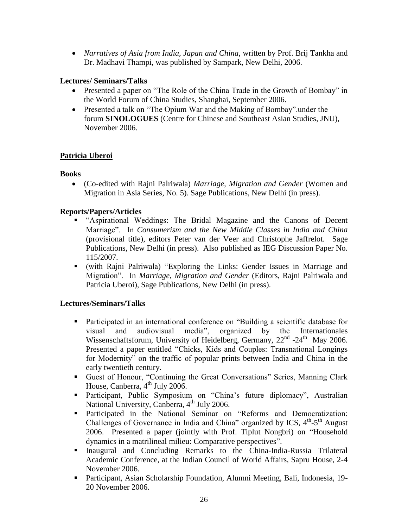*Narratives of Asia from India, Japan and China,* written by Prof. Brij Tankha and Dr. Madhavi Thampi, was published by Sampark, New Delhi, 2006.

#### **Lectures/ Seminars/Talks**

- Presented a paper on "The Role of the China Trade in the Growth of Bombay" in the World Forum of China Studies, Shanghai, September 2006.
- Presented a talk on "The Opium War and the Making of Bombay" under the forum **SINOLOGUES** (Centre for Chinese and Southeast Asian Studies, JNU), November 2006.

#### **Patricia Uberoi**

#### **Books**

 (Co-edited with Rajni Palriwala) *Marriage, Migration and Gender* (Women and Migration in Asia Series, No. 5). Sage Publications, New Delhi (in press).

#### **Reports/Papers/Articles**

- **-** "Aspirational Weddings: The Bridal Magazine and the Canons of Decent Marriage‖. In *Consumerism and the New Middle Classes in India and China*  (provisional title), editors Peter van der Veer and Christophe Jaffrelot. Sage Publications, New Delhi (in press). Also published as IEG Discussion Paper No. 115/2007.
- (with Rajni Palriwala) "Exploring the Links: Gender Issues in Marriage and Migration‖. In *Marriage, Migration and Gender* (Editors, Rajni Palriwala and Patricia Uberoi), Sage Publications, New Delhi (in press).

- Participated in an international conference on "Building a scientific database for visual and audiovisual media<sup>n</sup>, organized by the Internationales Wissenschaftsforum, University of Heidelberg, Germany,  $22<sup>nd</sup>$  -24<sup>th</sup> May 2006. Presented a paper entitled "Chicks, Kids and Couples: Transnational Longings for Modernity" on the traffic of popular prints between India and China in the early twentieth century.
- **Guest of Honour, "Continuing the Great Conversations" Series, Manning Clark** House, Canberra,  $4<sup>th</sup>$  July 2006.
- **Participant, Public Symposium on "China's future diplomacy", Australian** National University, Canberra, 4<sup>th</sup> July 2006.
- **Participated in the National Seminar on "Reforms and Democratization:** Challenges of Governance in India and China" organized by ICS,  $4<sup>th</sup>-5<sup>th</sup>$  August 2006. Presented a paper (jointly with Prof. Tiplut Nongbri) on "Household" dynamics in a matrilineal milieu: Comparative perspectives".
- Inaugural and Concluding Remarks to the China-India-Russia Trilateral Academic Conference, at the Indian Council of World Affairs, Sapru House, 2-4 November 2006.
- Participant, Asian Scholarship Foundation, Alumni Meeting, Bali, Indonesia, 19- 20 November 2006.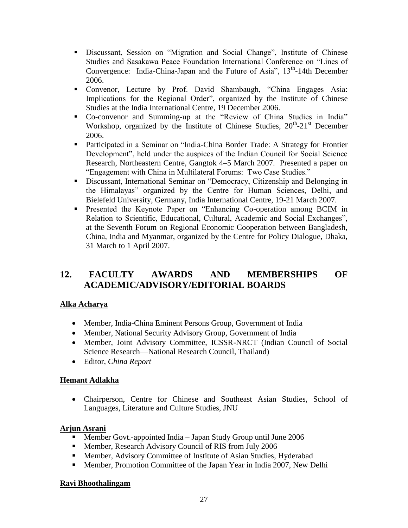- Discussant, Session on "Migration and Social Change", Institute of Chinese Studies and Sasakawa Peace Foundation International Conference on "Lines of Convergence: India-China-Japan and the Future of Asia", 13<sup>th</sup>-14th December 2006.
- Convenor, Lecture by Prof. David Shambaugh, "China Engages Asia: Implications for the Regional Order", organized by the Institute of Chinese Studies at the India International Centre, 19 December 2006.
- Co-convenor and Summing-up at the "Review of China Studies in India" Workshop, organized by the Institute of Chinese Studies, 20<sup>th</sup>-21<sup>st</sup> December 2006.
- **Participated in a Seminar on "India-China Border Trade: A Strategy for Frontier** Development", held under the auspices of the Indian Council for Social Science Research, Northeastern Centre, Gangtok 4–5 March 2007. Presented a paper on "Engagement with China in Multilateral Forums: Two Case Studies."
- Discussant, International Seminar on "Democracy, Citizenship and Belonging in the Himalayas‖ organized by the Centre for Human Sciences, Delhi, and Bielefeld University, Germany, India International Centre, 19-21 March 2007.
- **Presented the Keynote Paper on "Enhancing Co-operation among BCIM in** Relation to Scientific, Educational, Cultural, Academic and Social Exchanges", at the Seventh Forum on Regional Economic Cooperation between Bangladesh, China, India and Myanmar, organized by the Centre for Policy Dialogue, Dhaka, 31 March to 1 April 2007.

## **12. FACULTY AWARDS AND MEMBERSHIPS OF ACADEMIC/ADVISORY/EDITORIAL BOARDS**

#### **Alka Acharya**

- Member, India-China Eminent Persons Group, Government of India
- Member, National Security Advisory Group, Government of India
- Member, Joint Advisory Committee, ICSSR-NRCT (Indian Council of Social Science Research—National Research Council, Thailand)
- Editor, *China Report*

#### **Hemant Adlakha**

 Chairperson, Centre for Chinese and Southeast Asian Studies, School of Languages, Literature and Culture Studies, JNU

#### **Arjun Asrani**

- Member Govt.-appointed India Japan Study Group until June 2006
- **Member, Research Advisory Council of RIS from July 2006**
- **Member, Advisory Committee of Institute of Asian Studies, Hyderabad**
- Member, Promotion Committee of the Japan Year in India 2007, New Delhi

#### **Ravi Bhoothalingam**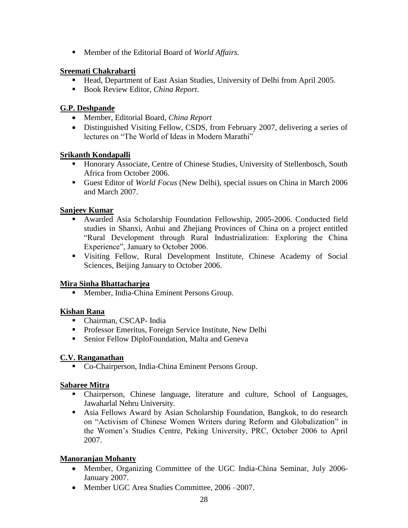Member of the Editorial Board of *World Affairs.*

#### **Sreemati Chakrabarti**

- Head, Department of East Asian Studies, University of Delhi from April 2005.
- Book Review Editor, *China Report*.

#### **G.P. Deshpande**

- Member, Editorial Board, *China Report*
- Distinguished Visiting Fellow, CSDS, from February 2007, delivering a series of lectures on "The World of Ideas in Modern Marathi"

#### **Srikanth Kondapalli**

- Honorary Associate, Centre of Chinese Studies, University of Stellenbosch, South Africa from October 2006.
- Guest Editor of *World Focus* (New Delhi), special issues on China in March 2006 and March 2007.

#### **Sanjeev Kumar**

- Awarded Asia Scholarship Foundation Fellowship, 2005-2006. Conducted field studies in Shanxi, Anhui and Zhejiang Provinces of China on a project entitled ―Rural Development through Rural Industrialization: Exploring the China Experience", January to October 2006.
- Visiting Fellow, Rural Development Institute, Chinese Academy of Social Sciences, Beijing January to October 2006.

#### **Mira Sinha Bhattacharjea**

**Member, India-China Eminent Persons Group.** 

#### **Kishan Rana**

- Chairman, CSCAP- India
- **Professor Emeritus, Foreign Service Institute, New Delhi**
- Senior Fellow DiploFoundation, Malta and Geneva

#### **C.V. Ranganathan**

■ Co-Chairperson, India-China Eminent Persons Group.

#### **Sabaree Mitra**

- Chairperson, Chinese language, literature and culture*,* School of Languages, Jawaharlal Nehru University.
- Asia Fellows Award by Asian Scholarship Foundation, Bangkok, to do research on "Activism of Chinese Women Writers during Reform and Globalization" in the Women's Studies Centre, Peking University, PRC, October 2006 to April 2007.

#### **Manoranjan Mohanty**

- Member, Organizing Committee of the UGC India-China Seminar, July 2006-January 2007.
- Member UGC Area Studies Committee, 2006–2007.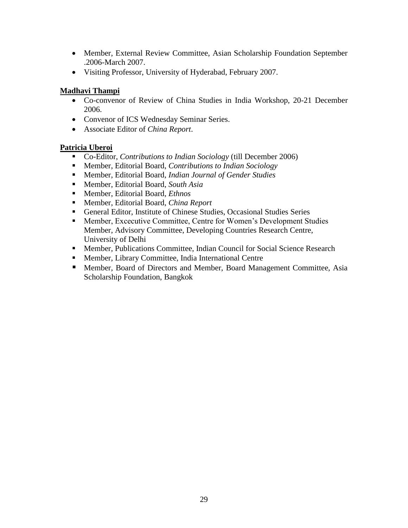- Member, External Review Committee, Asian Scholarship Foundation September .2006-March 2007.
- Visiting Professor, University of Hyderabad, February 2007.

#### **Madhavi Thampi**

- Co-convenor of Review of China Studies in India Workshop, 20-21 December 2006.
- Convenor of ICS Wednesday Seminar Series.
- Associate Editor of *China Report*.

#### **Patricia Uberoi**

- Co-Editor, *Contributions to Indian Sociology* (till December 2006)
- Member, Editorial Board, *Contributions to Indian Sociology*
- Member, Editorial Board, *Indian Journal of Gender Studies*
- Member, Editorial Board, *South Asia*
- Member, Editorial Board, *Ethnos*
- Member, Editorial Board, *China Report*
- General Editor, Institute of Chinese Studies, Occasional Studies Series
- Member, Excecutive Committee, Centre for Women's Development Studies Member, Advisory Committee, Developing Countries Research Centre, University of Delhi
- **Member, Publications Committee, Indian Council for Social Science Research**
- Member, Library Committee, India International Centre
- Member, Board of Directors and Member, Board Management Committee, Asia Scholarship Foundation, Bangkok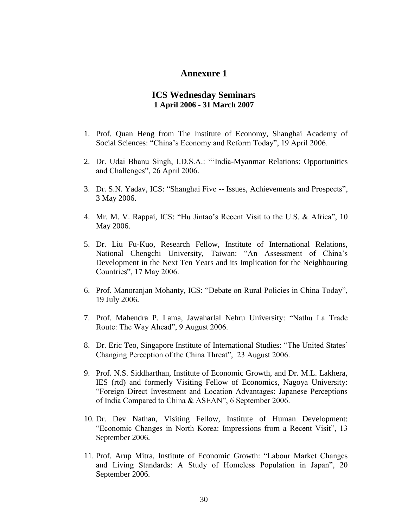#### **Annexure 1**

#### **ICS Wednesday Seminars 1 April 2006 - 31 March 2007**

- 1. Prof. Quan Heng from The Institute of Economy, Shanghai Academy of Social Sciences: "China's Economy and Reform Today", 19 April 2006.
- 2. Dr. Udai Bhanu Singh, I.D.S.A.: "'India-Myanmar Relations: Opportunities and Challenges", 26 April 2006.
- 3. Dr. S.N. Yadav, ICS: "Shanghai Five -- Issues, Achievements and Prospects", 3 May 2006.
- 4. Mr. M. V. Rappai, ICS: "Hu Jintao's Recent Visit to the U.S. & Africa", 10 May 2006.
- 5. Dr. Liu Fu-Kuo, Research Fellow, Institute of International Relations, National Chengchi University, Taiwan: "An Assessment of China's Development in the Next Ten Years and its Implication for the Neighbouring Countries", 17 May 2006.
- 6. Prof. Manoranjan Mohanty, ICS: "Debate on Rural Policies in China Today", 19 July 2006.
- 7. Prof. Mahendra P. Lama, Jawaharlal Nehru University: "Nathu La Trade Route: The Way Ahead", 9 August 2006.
- 8. Dr. Eric Teo, Singapore Institute of International Studies: "The United States' Changing Perception of the China Threat", 23 August 2006.
- 9. Prof. N.S. Siddharthan, Institute of Economic Growth, and Dr. M.L. Lakhera, IES (rtd) and formerly Visiting Fellow of Economics, Nagoya University: ―Foreign Direct Investment and Location Advantages: Japanese Perceptions of India Compared to China & ASEAN", 6 September 2006.
- 10. Dr. Dev Nathan, Visiting Fellow, Institute of Human Development: "Economic Changes in North Korea: Impressions from a Recent Visit", 13 September 2006.
- 11. Prof. Arup Mitra, Institute of Economic Growth: "Labour Market Changes" and Living Standards: A Study of Homeless Population in Japan", 20 September 2006.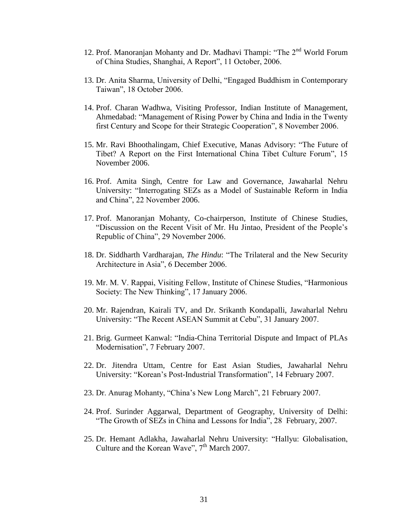- 12. Prof. Manoranjan Mohanty and Dr. Madhavi Thampi: "The  $2^{nd}$  World Forum of China Studies, Shanghai, A Report", 11 October, 2006.
- 13. Dr. Anita Sharma, University of Delhi, "Engaged Buddhism in Contemporary Taiwan", 18 October 2006.
- 14. Prof. Charan Wadhwa, Visiting Professor, Indian Institute of Management, Ahmedabad: "Management of Rising Power by China and India in the Twenty first Century and Scope for their Strategic Cooperation", 8 November 2006.
- 15. Mr. Ravi Bhoothalingam, Chief Executive, Manas Advisory: "The Future of Tibet? A Report on the First International China Tibet Culture Forum", 15 November 2006.
- 16. Prof. Amita Singh, Centre for Law and Governance, Jawaharlal Nehru University: "Interrogating SEZs as a Model of Sustainable Reform in India and China", 22 November 2006.
- 17. Prof. Manoranjan Mohanty, Co-chairperson, Institute of Chinese Studies, ―Discussion on the Recent Visit of Mr. Hu Jintao, President of the People's Republic of China", 29 November 2006.
- 18. Dr. Siddharth Vardharajan, *The Hindu*: "The Trilateral and the New Security Architecture in Asia", 6 December 2006.
- 19. Mr. M. V. Rappai, Visiting Fellow, Institute of Chinese Studies, "Harmonious Society: The New Thinking", 17 January 2006.
- 20. Mr. Rajendran, Kairali TV, and Dr. Srikanth Kondapalli, Jawaharlal Nehru University: "The Recent ASEAN Summit at Cebu", 31 January 2007.
- 21. Brig. Gurmeet Kanwal: "India-China Territorial Dispute and Impact of PLAs Modernisation", 7 February 2007.
- 22. Dr. Jitendra Uttam, Centre for East Asian Studies, Jawaharlal Nehru University: "Korean's Post-Industrial Transformation", 14 February 2007.
- 23. Dr. Anurag Mohanty, "China's New Long March", 21 February 2007.
- 24. Prof. Surinder Aggarwal, Department of Geography, University of Delhi: "The Growth of SEZs in China and Lessons for India", 28 February, 2007.
- 25. Dr. Hemant Adlakha, Jawaharlal Nehru University: "Hallyu: Globalisation, Culture and the Korean Wave",  $7<sup>th</sup>$  March 2007.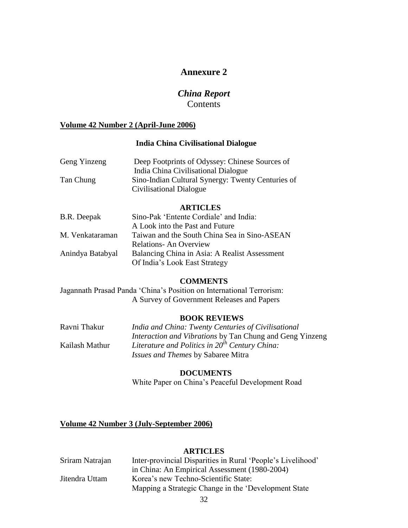#### **Annexure 2**

#### *China Report* Contents

#### **Volume 42 Number 2 (April-June 2006)**

#### **India China Civilisational Dialogue**

| Geng Yinzeng | Deep Footprints of Odyssey: Chinese Sources of    |
|--------------|---------------------------------------------------|
|              | India China Civilisational Dialogue               |
| Tan Chung    | Sino-Indian Cultural Synergy: Twenty Centuries of |
|              | Civilisational Dialogue                           |

#### **ARTICLES**

| B.R. Deepak      | Sino-Pak 'Entente Cordiale' and India:        |
|------------------|-----------------------------------------------|
|                  | A Look into the Past and Future               |
| M. Venkataraman  | Taiwan and the South China Sea in Sino-ASEAN  |
|                  | <b>Relations-An Overview</b>                  |
| Anindya Batabyal | Balancing China in Asia: A Realist Assessment |
|                  | Of India's Look East Strategy                 |

#### **COMMENTS**

Jagannath Prasad Panda ‗China's Position on International Terrorism: A Survey of Government Releases and Papers

#### **BOOK REVIEWS**

| Ravni Thakur   | India and China: Twenty Centuries of Civilisational             |
|----------------|-----------------------------------------------------------------|
|                | <i>Interaction and Vibrations</i> by Tan Chung and Geng Yinzeng |
| Kailash Mathur | Literature and Politics in $20^{th}$ Century China:             |
|                | <i>Issues and Themes by Sabaree Mitra</i>                       |

#### **DOCUMENTS**

White Paper on China's Peaceful Development Road

#### **Volume 42 Number 3 (July-September 2006)**

#### **ARTICLES**

| Sriram Natrajan | Inter-provincial Disparities in Rural 'People's Livelihood' |
|-----------------|-------------------------------------------------------------|
|                 | in China: An Empirical Assessment (1980-2004)               |
| Jitendra Uttam  | Korea's new Techno-Scientific State:                        |
|                 | Mapping a Strategic Change in the 'Development State        |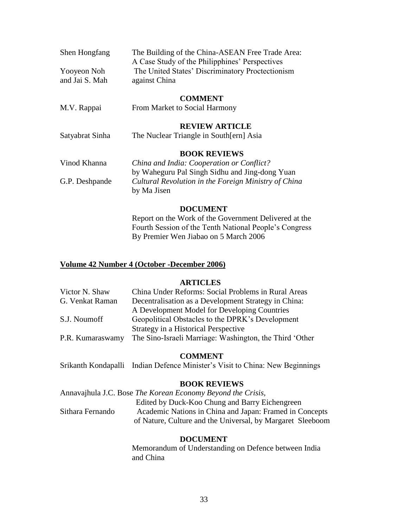| Shen Hongfang                 | The Building of the China-ASEAN Free Trade Area:<br>A Case Study of the Philipphines' Perspectives |
|-------------------------------|----------------------------------------------------------------------------------------------------|
| Yooyeon Noh<br>and Jai S. Mah | The United States' Discriminatory Proctectionism<br>against China                                  |
|                               | <b>COMMENT</b>                                                                                     |
| M.V. Rappai                   | From Market to Social Harmony                                                                      |
|                               | <b>REVIEW ARTICLE</b>                                                                              |
| Satyabrat Sinha               | The Nuclear Triangle in South [ern] Asia                                                           |
|                               | <b>BOOK REVIEWS</b>                                                                                |
| Vinod Khanna                  | China and India: Cooperation or Conflict?                                                          |
|                               | by Waheguru Pal Singh Sidhu and Jing-dong Yuan                                                     |
| G.P. Deshpande                | Cultural Revolution in the Foreign Ministry of China<br>by Ma Jisen                                |

#### **DOCUMENT**

Report on the Work of the Government Delivered at the Fourth Session of the Tenth National People's Congress By Premier Wen Jiabao on 5 March 2006

#### **Volume 42 Number 4 (October -December 2006)**

#### **ARTICLES**

| Victor N. Shaw   | China Under Reforms: Social Problems in Rural Areas     |
|------------------|---------------------------------------------------------|
| G. Venkat Raman  | Decentralisation as a Development Strategy in China:    |
|                  | A Development Model for Developing Countries            |
| S.J. Noumoff     | Geopolitical Obstacles to the DPRK's Development        |
|                  | Strategy in a Historical Perspective                    |
| P.R. Kumaraswamy | The Sino-Israeli Marriage: Washington, the Third 'Other |
|                  |                                                         |

#### **COMMENT**

Srikanth Kondapalli Indian Defence Minister's Visit to China: New Beginnings

#### **BOOK REVIEWS**

|                  | Annavajhula J.C. Bose <i>The Korean Economy Beyond the Crisis</i> , |
|------------------|---------------------------------------------------------------------|
|                  | Edited by Duck-Koo Chung and Barry Eichengreen                      |
| Sithara Fernando | Academic Nations in China and Japan: Framed in Concepts             |
|                  | of Nature, Culture and the Universal, by Margaret Sleeboom          |

#### **DOCUMENT**

Memorandum of Understanding on Defence between India and China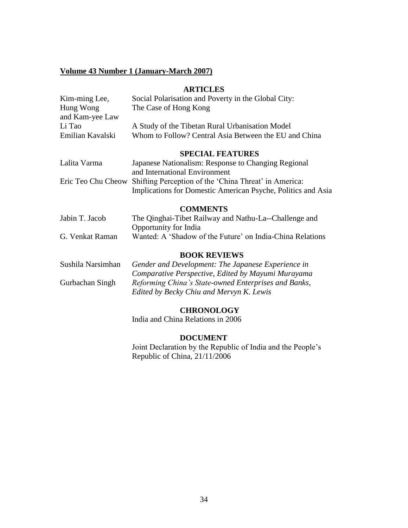#### **Volume 43 Number 1 (January-March 2007)**

#### **ARTICLES**

| Kim-ming Lee,      | Social Polarisation and Poverty in the Global City:          |
|--------------------|--------------------------------------------------------------|
| Hung Wong          | The Case of Hong Kong                                        |
| and Kam-yee Law    |                                                              |
| Li Tao             | A Study of the Tibetan Rural Urbanisation Model              |
| Emilian Kavalski   | Whom to Follow? Central Asia Between the EU and China        |
|                    |                                                              |
|                    | <b>SPECIAL FEATURES</b>                                      |
| Lalita Varma       | Japanese Nationalism: Response to Changing Regional          |
|                    | and International Environment                                |
|                    |                                                              |
| Eric Teo Chu Cheow | Shifting Perception of the 'China Threat' in America:        |
|                    | Implications for Domestic American Psyche, Politics and Asia |
|                    | <b>COMMENTS</b>                                              |
| Jabin T. Jacob     | The Qinghai-Tibet Railway and Nathu-La--Challenge and        |
|                    | Opportunity for India                                        |
|                    |                                                              |
| G. Venkat Raman    | Wanted: A 'Shadow of the Future' on India-China Relations    |
|                    | <b>BOOK REVIEWS</b>                                          |
| Sushila Narsimhan  | Gender and Development: The Japanese Experience in           |
|                    | Comparative Perspective, Edited by Mayumi Murayama           |
|                    |                                                              |
| Gurbachan Singh    | Reforming China's State-owned Enterprises and Banks,         |
|                    | Edited by Becky Chiu and Mervyn K. Lewis                     |
|                    |                                                              |

## **CHRONOLOGY**

India and China Relations in 2006

#### **DOCUMENT**

Joint Declaration by the Republic of India and the People's Republic of China, 21/11/2006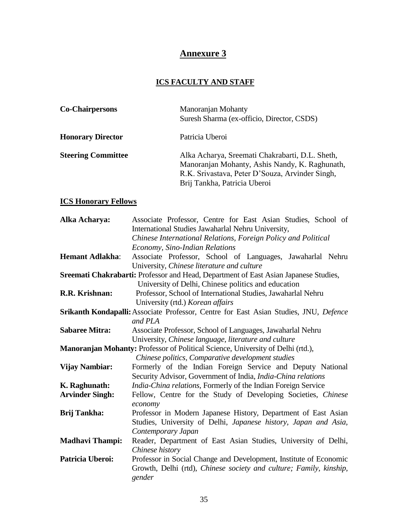## **Annexure 3**

## **ICS FACULTY AND STAFF**

| <b>Co-Chairpersons</b>    | Manoranjan Mohanty<br>Suresh Sharma (ex-officio, Director, CSDS)                                                                                                                     |
|---------------------------|--------------------------------------------------------------------------------------------------------------------------------------------------------------------------------------|
| <b>Honorary Director</b>  | Patricia Uberoi                                                                                                                                                                      |
| <b>Steering Committee</b> | Alka Acharya, Sreemati Chakrabarti, D.L. Sheth,<br>Manoranjan Mohanty, Ashis Nandy, K. Raghunath,<br>R.K. Srivastava, Peter D'Souza, Arvinder Singh,<br>Brij Tankha, Patricia Uberoi |

## **ICS Honorary Fellows**

| Alka Acharya:          | Associate Professor, Centre for East Asian Studies, School of                         |
|------------------------|---------------------------------------------------------------------------------------|
|                        | International Studies Jawaharlal Nehru University,                                    |
|                        | Chinese International Relations, Foreign Policy and Political                         |
|                        | Economy, Sino-Indian Relations                                                        |
| <b>Hemant Adlakha:</b> | Associate Professor, School of Languages, Jawaharlal Nehru                            |
|                        | University, Chinese literature and culture                                            |
|                        | Sreemati Chakrabarti: Professor and Head, Department of East Asian Japanese Studies,  |
|                        | University of Delhi, Chinese politics and education                                   |
| R.R. Krishnan:         | Professor, School of International Studies, Jawaharlal Nehru                          |
|                        | University (rtd.) Korean affairs                                                      |
|                        | Srikanth Kondapalli: Associate Professor, Centre for East Asian Studies, JNU, Defence |
|                        | and PLA                                                                               |
| <b>Sabaree Mitra:</b>  | Associate Professor, School of Languages, Jawaharlal Nehru                            |
|                        | University, Chinese language, literature and culture                                  |
|                        | Manoranjan Mohanty: Professor of Political Science, University of Delhi (rtd.),       |
|                        | Chinese politics, Comparative development studies                                     |
| <b>Vijay Nambiar:</b>  | Formerly of the Indian Foreign Service and Deputy National                            |
|                        | Security Advisor, Government of India, India-China relations                          |
| K. Raghunath:          | India-China relations, Formerly of the Indian Foreign Service                         |
| <b>Arvinder Singh:</b> | Fellow, Centre for the Study of Developing Societies, Chinese                         |
|                        | economy                                                                               |
| <b>Brij Tankha:</b>    | Professor in Modern Japanese History, Department of East Asian                        |
|                        | Studies, University of Delhi, Japanese history, Japan and Asia,                       |
|                        | Contemporary Japan                                                                    |
| <b>Madhavi Thampi:</b> | Reader, Department of East Asian Studies, University of Delhi,                        |
|                        | Chinese history                                                                       |
| Patricia Uberoi:       |                                                                                       |
|                        | Professor in Social Change and Development, Institute of Economic                     |
|                        | Growth, Delhi (rtd), Chinese society and culture; Family, kinship,<br>gender          |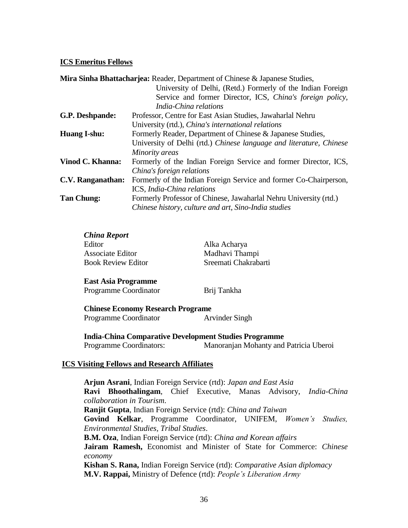#### **ICS Emeritus Fellows**

| <b>Mira Sinha Bhattacharjea: Reader, Department of Chinese &amp; Japanese Studies,</b> |                                                                     |
|----------------------------------------------------------------------------------------|---------------------------------------------------------------------|
|                                                                                        | University of Delhi, (Retd.) Formerly of the Indian Foreign         |
|                                                                                        | Service and former Director, ICS, China's foreign policy,           |
|                                                                                        | India-China relations                                               |
| G.P. Deshpande:                                                                        | Professor, Centre for East Asian Studies, Jawaharlal Nehru          |
|                                                                                        | University (rtd.), <i>China's international relations</i>           |
| Huang I-shu:                                                                           | Formerly Reader, Department of Chinese & Japanese Studies,          |
|                                                                                        | University of Delhi (rtd.) Chinese language and literature, Chinese |
|                                                                                        | Minority areas                                                      |
| Vinod C. Khanna:                                                                       | Formerly of the Indian Foreign Service and former Director, ICS,    |
|                                                                                        | China's foreign relations                                           |
| C.V. Ranganathan:                                                                      | Formerly of the Indian Foreign Service and former Co-Chairperson,   |
|                                                                                        | ICS, India-China relations                                          |
| <b>Tan Chung:</b>                                                                      | Formerly Professor of Chinese, Jawaharlal Nehru University (rtd.)   |
|                                                                                        | Chinese history, culture and art, Sino-India studies                |

#### *China Report*

| Editor                    | Alka Acharya         |
|---------------------------|----------------------|
| Associate Editor          | Madhavi Thampi       |
| <b>Book Review Editor</b> | Sreemati Chakrabarti |

#### **East Asia Programme**

Programme Coordinator Brij Tankha

#### **Chinese Economy Research Programe** Programme Coordinator **Arvinder Singh**

**India-China Comparative Development Studies Programme**  Programme Coordinators: Manoranjan Mohanty and Patricia Uberoi

#### **ICS Visiting Fellows and Research Affiliates**

**Arjun Asrani**, Indian Foreign Service (rtd): *Japan and East Asia* **Ravi Bhoothalingam**, Chief Executive, Manas Advisory, *India-China collaboration in Tourism*. **Ranjit Gupta**, Indian Foreign Service (rtd): *China and Taiwan* **Govind Kelkar**, Programme Coordinator, UNIFEM, *Women's Studies, Environmental Studies, Tribal Studies*. **B.M. Oza**, Indian Foreign Service (rtd): *China and Korean affairs* **Jairam Ramesh,** Economist and Minister of State for Commerce: *Chinese economy*  **Kishan S. Rana,** Indian Foreign Service (rtd): *Comparative Asian diplomacy* **M.V. Rappai,** Ministry of Defence (rtd): *People's Liberation Army*